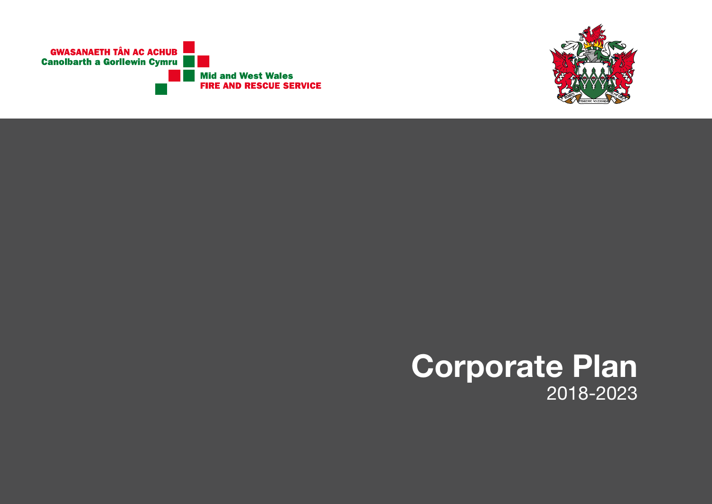

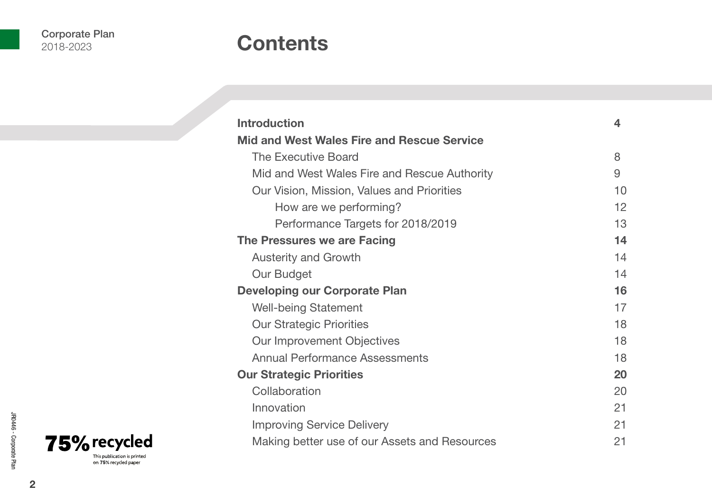### **Contents**

| <b>Introduction</b>                           | 4  |  |
|-----------------------------------------------|----|--|
| Mid and West Wales Fire and Rescue Service    |    |  |
| The Executive Board                           | 8  |  |
| Mid and West Wales Fire and Rescue Authority  | 9  |  |
| Our Vision, Mission, Values and Priorities    | 10 |  |
| How are we performing?                        | 12 |  |
| Performance Targets for 2018/2019             | 13 |  |
| The Pressures we are Facing                   | 14 |  |
| <b>Austerity and Growth</b>                   | 14 |  |
| Our Budget                                    | 14 |  |
| <b>Developing our Corporate Plan</b>          |    |  |
| <b>Well-being Statement</b>                   | 17 |  |
| <b>Our Strategic Priorities</b>               | 18 |  |
| Our Improvement Objectives                    | 18 |  |
| Annual Performance Assessments                | 18 |  |
| <b>Our Strategic Priorities</b>               |    |  |
| Collaboration                                 | 20 |  |
| Innovation                                    | 21 |  |
| <b>Improving Service Delivery</b>             | 21 |  |
| Making better use of our Assets and Resources | 21 |  |

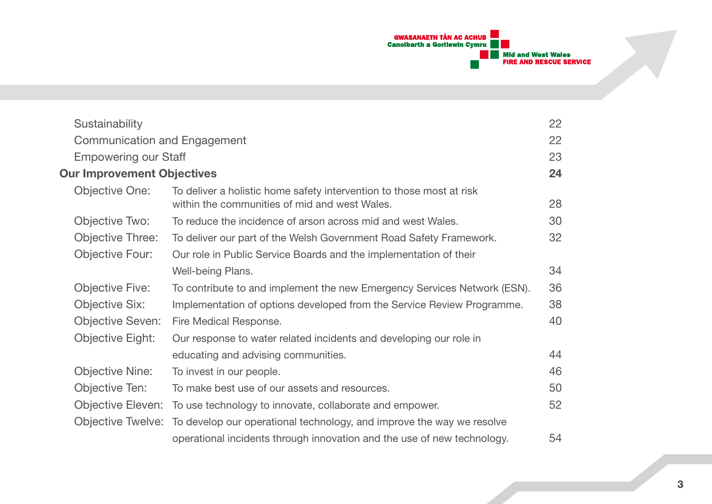

| Sustainability                    |                                                                                                                       | 22 |
|-----------------------------------|-----------------------------------------------------------------------------------------------------------------------|----|
| Communication and Engagement      |                                                                                                                       | 22 |
| <b>Empowering our Staff</b>       |                                                                                                                       | 23 |
| <b>Our Improvement Objectives</b> |                                                                                                                       | 24 |
| Objective One:                    | To deliver a holistic home safety intervention to those most at risk<br>within the communities of mid and west Wales. | 28 |
| Objective Two:                    | To reduce the incidence of arson across mid and west Wales.                                                           | 30 |
| Objective Three:                  | To deliver our part of the Welsh Government Road Safety Framework.                                                    | 32 |
| Objective Four:                   | Our role in Public Service Boards and the implementation of their                                                     |    |
|                                   | Well-being Plans.                                                                                                     | 34 |
| Objective Five:                   | To contribute to and implement the new Emergency Services Network (ESN).                                              | 36 |
| Objective Six:                    | Implementation of options developed from the Service Review Programme.                                                | 38 |
| <b>Objective Seven:</b>           | Fire Medical Response.                                                                                                | 40 |
| Objective Eight:                  | Our response to water related incidents and developing our role in                                                    |    |
|                                   | educating and advising communities.                                                                                   | 44 |
| <b>Objective Nine:</b>            | To invest in our people.                                                                                              | 46 |
| Objective Ten:                    | To make best use of our assets and resources.                                                                         | 50 |
| Objective Eleven:                 | To use technology to innovate, collaborate and empower.                                                               | 52 |
|                                   | Objective Twelve: To develop our operational technology, and improve the way we resolve                               |    |
|                                   | operational incidents through innovation and the use of new technology.                                               | 54 |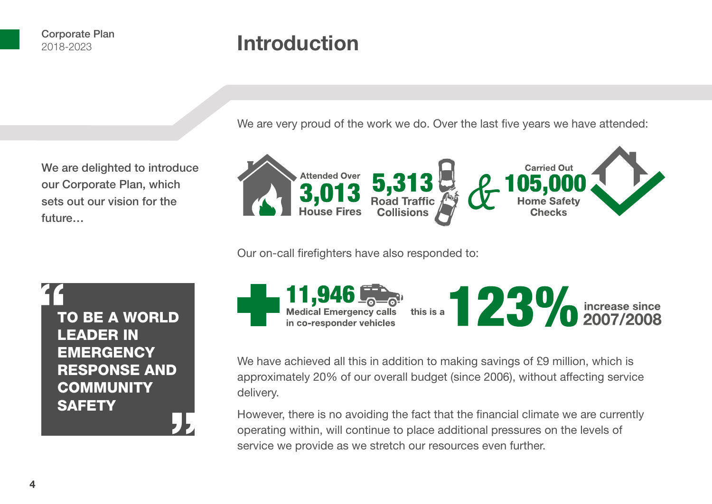future…

## **Introduction**

We are very proud of the work we do. Over the last five years we have attended:



Our on-call firefighters have also responded to:

"<br>|-<br>| T -<br>"<br>" TO BE A WORLD LEADER IN **EMERGENCY** RESPONSE AND **COMMUNITY SAFETY** 

We are delighted to introduce our Corporate Plan, which sets out our vision for the

> 11,946 $\frac{600}{200}$ Medical Emergency calls this is a  $23\%$  increase since in co-responder vehicles

We have achieved all this in addition to making savings of £9 million, which is approximately 20% of our overall budget (since 2006), without affecting service delivery.

However, there is no avoiding the fact that the financial climate we are currently operating within, will continue to place additional pressures on the levels of service we provide as we stretch our resources even further.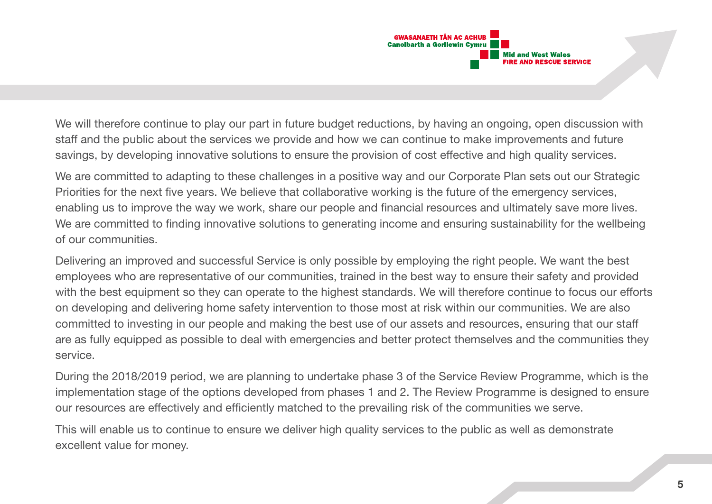

We will therefore continue to play our part in future budget reductions, by having an ongoing, open discussion with staff and the public about the services we provide and how we can continue to make improvements and future savings, by developing innovative solutions to ensure the provision of cost effective and high quality services.

We are committed to adapting to these challenges in a positive way and our Corporate Plan sets out our Strategic Priorities for the next five years. We believe that collaborative working is the future of the emergency services, enabling us to improve the way we work, share our people and financial resources and ultimately save more lives. We are committed to finding innovative solutions to generating income and ensuring sustainability for the wellbeing of our communities.

Delivering an improved and successful Service is only possible by employing the right people. We want the best employees who are representative of our communities, trained in the best way to ensure their safety and provided with the best equipment so they can operate to the highest standards. We will therefore continue to focus our efforts on developing and delivering home safety intervention to those most at risk within our communities. We are also committed to investing in our people and making the best use of our assets and resources, ensuring that our staff are as fully equipped as possible to deal with emergencies and better protect themselves and the communities they service.

During the 2018/2019 period, we are planning to undertake phase 3 of the Service Review Programme, which is the implementation stage of the options developed from phases 1 and 2. The Review Programme is designed to ensure our resources are effectively and efficiently matched to the prevailing risk of the communities we serve.

This will enable us to continue to ensure we deliver high quality services to the public as well as demonstrate excellent value for money.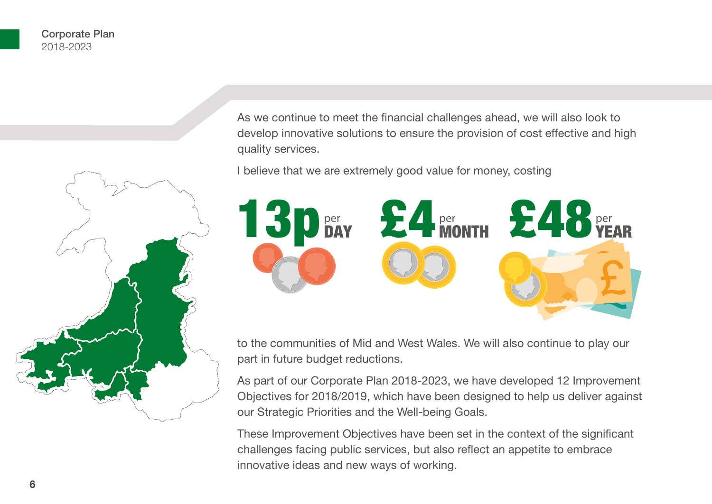

As we continue to meet the financial challenges ahead, we will also look to develop innovative solutions to ensure the provision of cost effective and high quality services.

I believe that we are extremely good value for money, costing



to the communities of Mid and West Wales. We will also continue to play our part in future budget reductions.

As part of our Corporate Plan 2018-2023, we have developed 12 Improvement Objectives for 2018/2019, which have been designed to help us deliver against our Strategic Priorities and the Well-being Goals.

These Improvement Objectives have been set in the context of the significant challenges facing public services, but also reflect an appetite to embrace innovative ideas and new ways of working.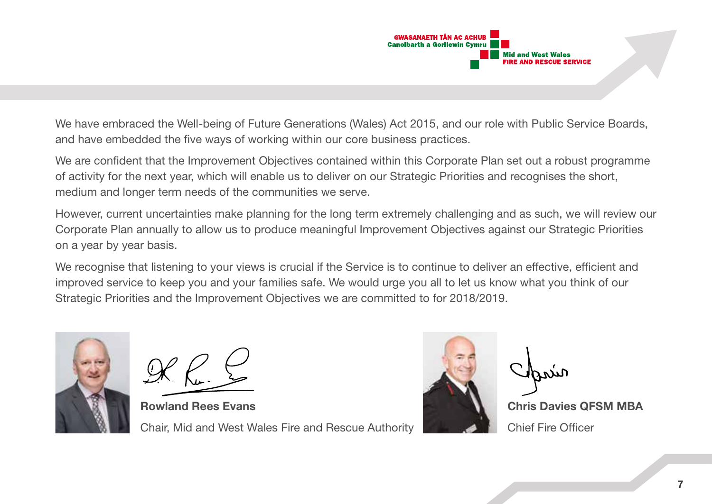

We have embraced the Well-being of Future Generations (Wales) Act 2015, and our role with Public Service Boards, and have embedded the five ways of working within our core business practices.

We are confident that the Improvement Objectives contained within this Corporate Plan set out a robust programme of activity for the next year, which will enable us to deliver on our Strategic Priorities and recognises the short, medium and longer term needs of the communities we serve.

However, current uncertainties make planning for the long term extremely challenging and as such, we will review our Corporate Plan annually to allow us to produce meaningful Improvement Objectives against our Strategic Priorities on a year by year basis.

We recognise that listening to your views is crucial if the Service is to continue to deliver an effective, efficient and improved service to keep you and your families safe. We would urge you all to let us know what you think of our Strategic Priorities and the Improvement Objectives we are committed to for 2018/2019.



**Rowland Rees Evans Chris Davies Area Chris Davies QFSM MBA** Chair, Mid and West Wales Fire and Rescue Authority Chair Chief Fire Officer

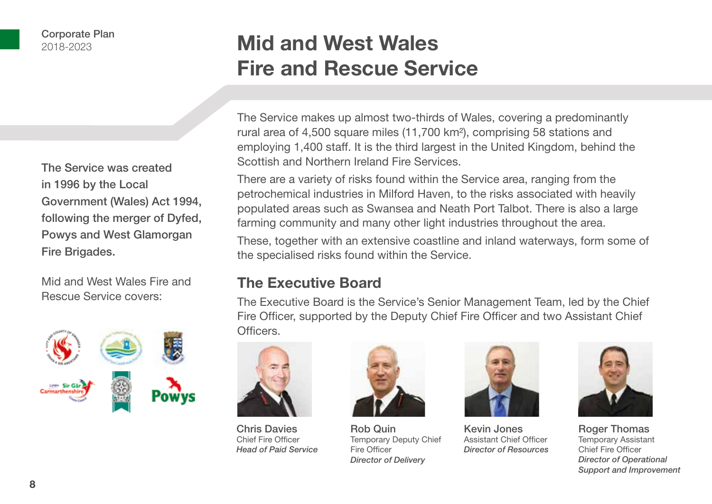The Service was created in 1996 by the Local Government (Wales) Act 1994, following the merger of Dyfed, Powys and West Glamorgan Fire Brigades.

Mid and West Wales Fire and Rescue Service covers:



## **Mid and West Wales Fire and Rescue Service**

The Service makes up almost two-thirds of Wales, covering a predominantly rural area of 4,500 square miles (11,700 km²), comprising 58 stations and employing 1,400 staff. It is the third largest in the United Kingdom, behind the Scottish and Northern Ireland Fire Services.

There are a variety of risks found within the Service area, ranging from the petrochemical industries in Milford Haven, to the risks associated with heavily populated areas such as Swansea and Neath Port Talbot. There is also a large farming community and many other light industries throughout the area.

These, together with an extensive coastline and inland waterways, form some of the specialised risks found within the Service.

### **The Executive Board**

The Executive Board is the Service's Senior Management Team, led by the Chief Fire Officer, supported by the Deputy Chief Fire Officer and two Assistant Chief Officers.



Chris Davies Chief Fire Officer *Head of Paid Service*



Rob Quin Temporary Deputy Chief Fire Officer *Director of Delivery*



Kevin Jones Assistant Chief Officer *Director of Resources*



Roger Thomas Temporary Assistant Chief Fire Officer *Director of Operational Support and Improvement*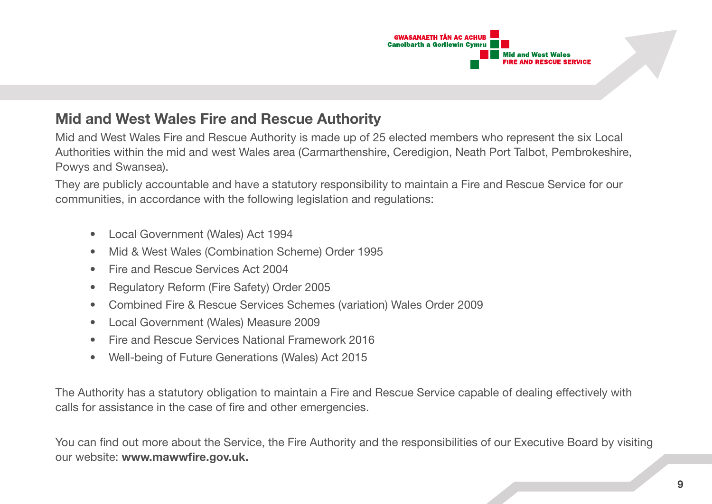

### **Mid and West Wales Fire and Rescue Authority**

Mid and West Wales Fire and Rescue Authority is made up of 25 elected members who represent the six Local Authorities within the mid and west Wales area (Carmarthenshire, Ceredigion, Neath Port Talbot, Pembrokeshire, Powys and Swansea).

They are publicly accountable and have a statutory responsibility to maintain a Fire and Rescue Service for our communities, in accordance with the following legislation and regulations:

- Local Government (Wales) Act 1994
- Mid & West Wales (Combination Scheme) Order 1995
- Fire and Rescue Services Act 2004
- Regulatory Reform (Fire Safety) Order 2005
- Combined Fire & Rescue Services Schemes (variation) Wales Order 2009
- Local Government (Wales) Measure 2009
- Fire and Rescue Services National Framework 2016
- Well-being of Future Generations (Wales) Act 2015

The Authority has a statutory obligation to maintain a Fire and Rescue Service capable of dealing effectively with calls for assistance in the case of fire and other emergencies.

You can find out more about the Service, the Fire Authority and the responsibilities of our Executive Board by visiting our website: **www.mawwfire.gov.uk.**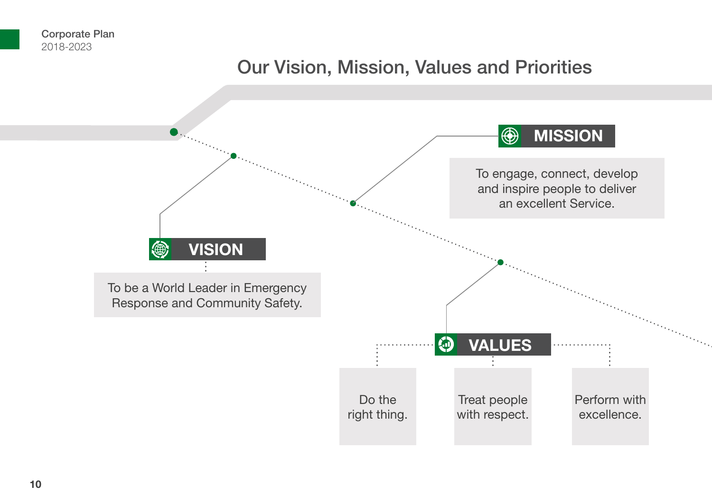### Our Vision, Mission, Values and Priorities

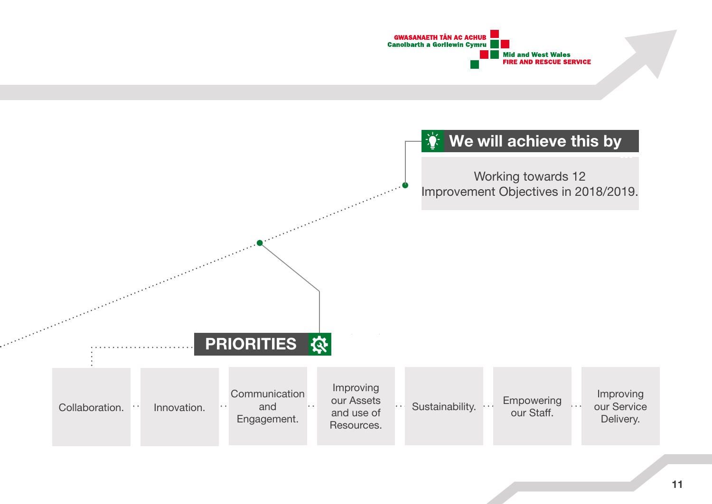

### **We will achieve this by**

Working towards 12 Improvement Objectives in 2018/2019.

**PRIORITIES &** 

and the first state of the state of the state of the state of the state of the state of the state of the state of the state of the state of the state of the state of the state of the state of the state of the state of the

| Communication<br>Collaboration.<br>and<br>Innovation.<br>Engagement. | Improving<br>our Assets<br>$\bullet$ $\bullet$<br>and use of<br>Resources. | Empowering<br>Sustainability.<br>our Staff. | Improving<br>our Service<br>Delivery. |
|----------------------------------------------------------------------|----------------------------------------------------------------------------|---------------------------------------------|---------------------------------------|
|----------------------------------------------------------------------|----------------------------------------------------------------------------|---------------------------------------------|---------------------------------------|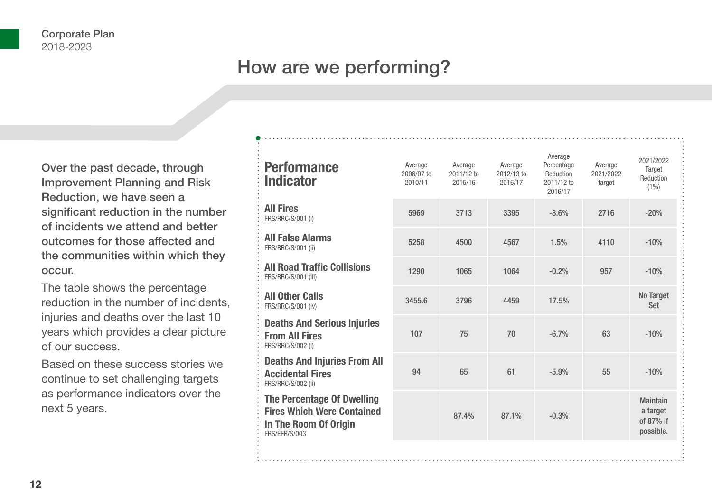### How are we performing?

Over the past decade, through Improvement Planning and Risk Reduction, we have seen a significant reduction in the number of incidents we attend and better outcomes for those affected and the communities within which they occur.

The table shows the percentage reduction in the number of incidents, injuries and deaths over the last 10 years which provides a clear picture of our success.

Based on these success stories we continue to set challenging targets as performance indicators over the next 5 years.

| <b>Performance</b><br><b>Indicator</b>                                                                           | Average<br>2006/07 to<br>2010/11 | Average<br>2011/12 to<br>2015/16 | Average<br>2012/13 to<br>2016/17 | Average<br>Percentage<br>Reduction<br>2011/12 to<br>2016/17 | Average<br>2021/2022<br>target | 2021/2022<br>Target<br>Reduction<br>$(1\%)$           |
|------------------------------------------------------------------------------------------------------------------|----------------------------------|----------------------------------|----------------------------------|-------------------------------------------------------------|--------------------------------|-------------------------------------------------------|
| <b>All Fires</b><br>FRS/RRC/S/001 (i)                                                                            | 5969                             | 3713                             | 3395                             | $-8.6%$                                                     | 2716                           | $-20%$                                                |
| <b>All False Alarms</b><br>FRS/RRC/S/001 (ii)                                                                    | 5258                             | 4500                             | 4567                             | 1.5%                                                        | 4110                           | $-10%$                                                |
| <b>All Road Traffic Collisions</b><br>FRS/RRC/S/001 (iii)                                                        | 1290                             | 1065                             | 1064                             | $-0.2%$                                                     | 957                            | $-10%$                                                |
| <b>All Other Calls</b><br>FRS/RRC/S/001 (iv)                                                                     | 3455.6                           | 3796                             | 4459                             | 17.5%                                                       |                                | No Target<br>Set                                      |
| <b>Deaths And Serious Injuries</b><br><b>From All Fires</b><br>FRS/RRC/S/002 (i)                                 | 107                              | 75                               | 70                               | $-6.7%$                                                     | 63                             | $-10%$                                                |
| <b>Deaths And Injuries From All</b><br><b>Accidental Fires</b><br>FRS/RRC/S/002 (ii)                             | 94                               | 65                               | 61                               | $-5.9%$                                                     | 55                             | $-10%$                                                |
| <b>The Percentage Of Dwelling</b><br><b>Fires Which Were Contained</b><br>In The Room Of Origin<br>FRS/EFR/S/003 |                                  | 87.4%                            | 87.1%                            | $-0.3%$                                                     |                                | <b>Maintain</b><br>a target<br>of 87% if<br>possible. |
|                                                                                                                  |                                  |                                  |                                  |                                                             |                                |                                                       |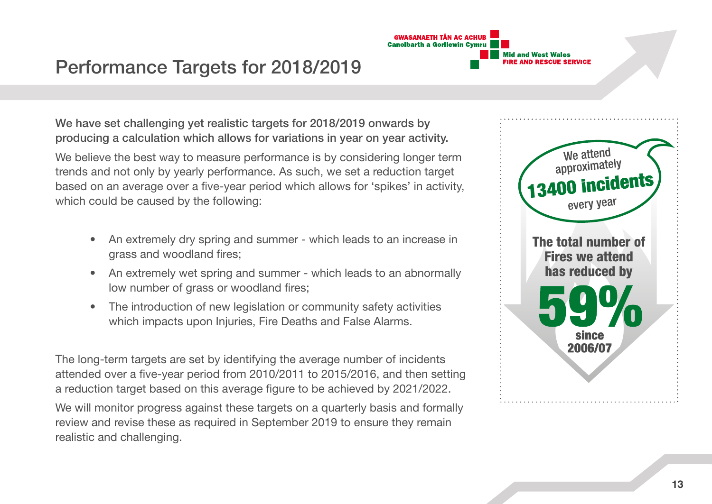

### Performance Targets for 2018/2019

We have set challenging yet realistic targets for 2018/2019 onwards by producing a calculation which allows for variations in year on year activity.

We believe the best way to measure performance is by considering longer term trends and not only by yearly performance. As such, we set a reduction target based on an average over a five-year period which allows for 'spikes' in activity, which could be caused by the following:

- An extremely dry spring and summer which leads to an increase in grass and woodland fires;
- An extremely wet spring and summer which leads to an abnormally low number of grass or woodland fires;
- The introduction of new legislation or community safety activities which impacts upon Injuries. Fire Deaths and False Alarms.

The long-term targets are set by identifying the average number of incidents attended over a five-year period from 2010/2011 to 2015/2016, and then setting a reduction target based on this average figure to be achieved by 2021/2022.

We will monitor progress against these targets on a quarterly basis and formally review and revise these as required in September 2019 to ensure they remain realistic and challenging.

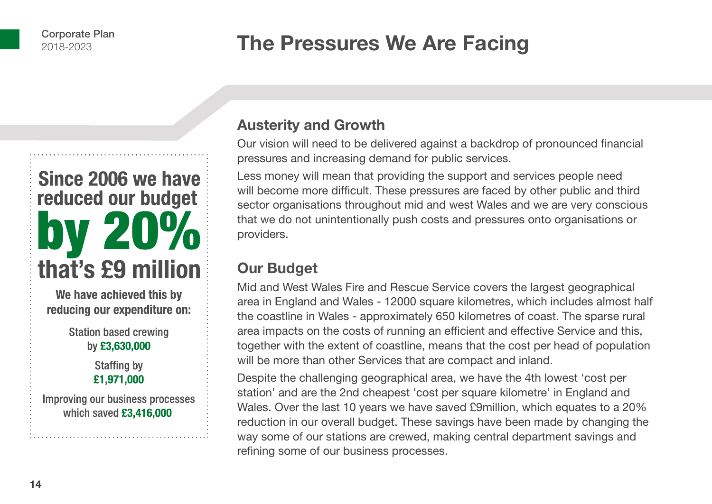## **The Pressures We Are Facing**

# Since 2006 we have reduced our budget 20% that's £9 million

We have achieved this by reducing our expenditure on:

> **Station based crewing** by £3,630,000

> > **Staffing by** £1,971,000

Improving our business processes which saved £3,416,000

### **Austerity and Growth**

Our vision will need to be delivered against a backdrop of pronounced financial pressures and increasing demand for public services.

Less money will mean that providing the support and services people need will become more difficult. These pressures are faced by other public and third sector organisations throughout mid and west Wales and we are very conscious that we do not unintentionally push costs and pressures onto organisations or providers.

### **Our Budget**

Mid and West Wales Fire and Rescue Service covers the largest geographical area in England and Wales - 12000 square kilometres, which includes almost half the coastline in Wales - approximately 650 kilometres of coast. The sparse rural area impacts on the costs of running an efficient and effective Service and this, together with the extent of coastline, means that the cost per head of population will be more than other Services that are compact and inland.

Despite the challenging geographical area, we have the 4th lowest 'cost per station' and are the 2nd cheapest 'cost per square kilometre' in England and Wales. Over the last 10 years we have saved £9million, which equates to a 20% reduction in our overall budget. These savings have been made by changing the way some of our stations are crewed, making central department savings and refining some of our business processes.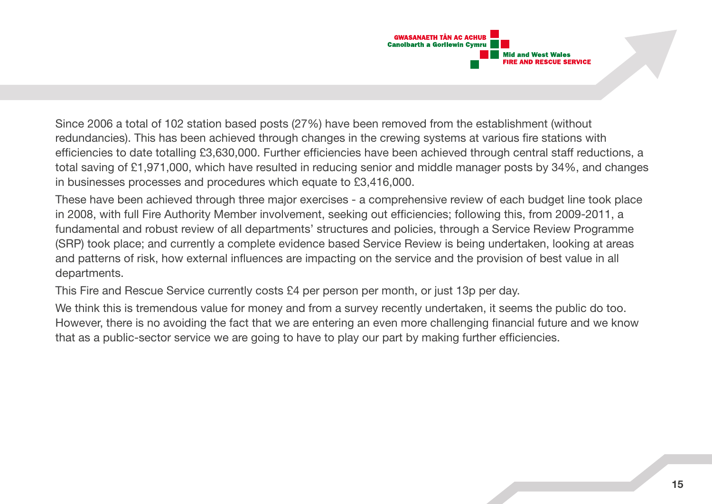

Since 2006 a total of 102 station based posts (27%) have been removed from the establishment (without redundancies). This has been achieved through changes in the crewing systems at various fire stations with efficiencies to date totalling £3,630,000. Further efficiencies have been achieved through central staff reductions, a total saving of £1,971,000, which have resulted in reducing senior and middle manager posts by 34%, and changes in businesses processes and procedures which equate to £3,416,000.

These have been achieved through three major exercises - a comprehensive review of each budget line took place in 2008, with full Fire Authority Member involvement, seeking out efficiencies; following this, from 2009-2011, a fundamental and robust review of all departments' structures and policies, through a Service Review Programme (SRP) took place; and currently a complete evidence based Service Review is being undertaken, looking at areas and patterns of risk, how external influences are impacting on the service and the provision of best value in all departments.

This Fire and Rescue Service currently costs £4 per person per month, or just 13p per day.

We think this is tremendous value for money and from a survey recently undertaken, it seems the public do too. However, there is no avoiding the fact that we are entering an even more challenging financial future and we know that as a public-sector service we are going to have to play our part by making further efficiencies.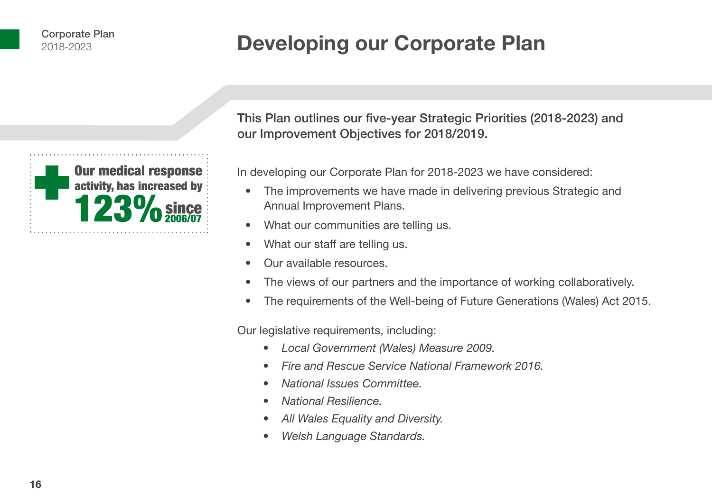## **Developing our Corporate Plan**



This Plan outlines our five-year Strategic Priorities (2018-2023) and our Improvement Objectives for 2018/2019.

In developing our Corporate Plan for 2018-2023 we have considered:

- The improvements we have made in delivering previous Strategic and Annual Improvement Plans.
- What our communities are telling us.
- What our staff are telling us.
- Our available resources.
- The views of our partners and the importance of working collaboratively.
- The requirements of the Well-being of Future Generations (Wales) Act 2015.

Our legislative requirements, including:

- *• Local Government (Wales) Measure 2009.*
- *• Fire and Rescue Service National Framework 2016.*
- *• National Issues Committee.*
- *• National Resilience.*
- *• All Wales Equality and Diversity.*
- *• Welsh Language Standards.*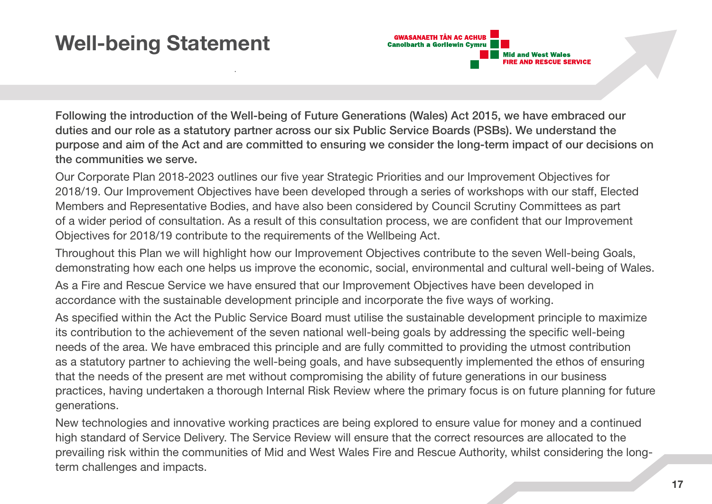## **Well-being Statement**

**GWASANAETH TÂN AC ACHUB Canolbarth a Gorllewin Cymru Mid and West Wales FIRE AND RESCUE SERVICE** 

Following the introduction of the Well-being of Future Generations (Wales) Act 2015, we have embraced our duties and our role as a statutory partner across our six Public Service Boards (PSBs). We understand the purpose and aim of the Act and are committed to ensuring we consider the long-term impact of our decisions on the communities we serve.

Our Corporate Plan 2018-2023 outlines our five year Strategic Priorities and our Improvement Objectives for 2018/19. Our Improvement Objectives have been developed through a series of workshops with our staff, Elected Members and Representative Bodies, and have also been considered by Council Scrutiny Committees as part of a wider period of consultation. As a result of this consultation process, we are confident that our Improvement Objectives for 2018/19 contribute to the requirements of the Wellbeing Act.

Throughout this Plan we will highlight how our Improvement Objectives contribute to the seven Well-being Goals, demonstrating how each one helps us improve the economic, social, environmental and cultural well-being of Wales.

As a Fire and Rescue Service we have ensured that our Improvement Objectives have been developed in accordance with the sustainable development principle and incorporate the five ways of working.

As specified within the Act the Public Service Board must utilise the sustainable development principle to maximize its contribution to the achievement of the seven national well-being goals by addressing the specific well-being needs of the area. We have embraced this principle and are fully committed to providing the utmost contribution as a statutory partner to achieving the well-being goals, and have subsequently implemented the ethos of ensuring that the needs of the present are met without compromising the ability of future generations in our business practices, having undertaken a thorough Internal Risk Review where the primary focus is on future planning for future generations.

New technologies and innovative working practices are being explored to ensure value for money and a continued high standard of Service Delivery. The Service Review will ensure that the correct resources are allocated to the prevailing risk within the communities of Mid and West Wales Fire and Rescue Authority, whilst considering the longterm challenges and impacts.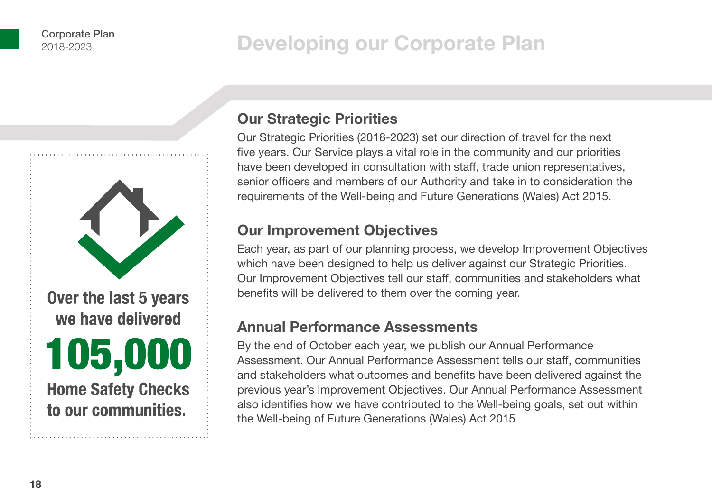## **Developing our Corporate Plan**



### **Our Strategic Priorities**

Our Strategic Priorities (2018-2023) set our direction of travel for the next five years. Our Service plays a vital role in the community and our priorities have been developed in consultation with staff, trade union representatives, senior officers and members of our Authority and take in to consideration the requirements of the Well-being and Future Generations (Wales) Act 2015.

### **Our Improvement Objectives**

Each year, as part of our planning process, we develop Improvement Objectives which have been designed to help us deliver against our Strategic Priorities. Our Improvement Objectives tell our staff, communities and stakeholders what benefits will be delivered to them over the coming year.

### **Annual Performance Assessments**

By the end of October each year, we publish our Annual Performance Assessment. Our Annual Performance Assessment tells our staff, communities and stakeholders what outcomes and benefits have been delivered against the previous year's Improvement Objectives. Our Annual Performance Assessment also identifies how we have contributed to the Well-being goals, set out within the Well-being of Future Generations (Wales) Act 2015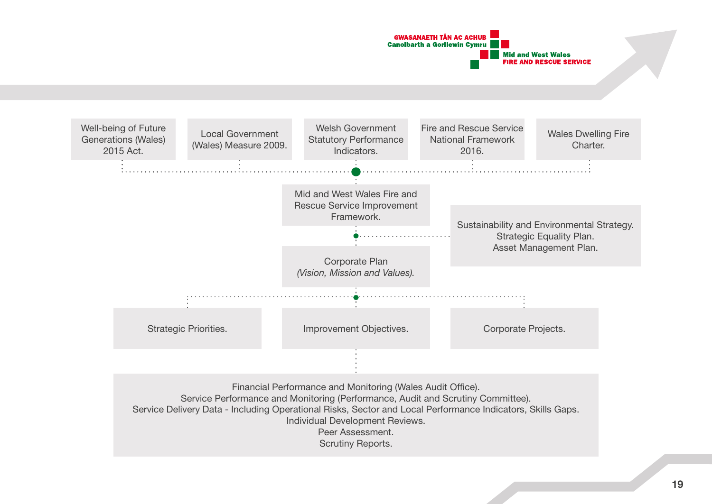

Financial Performance and Monitoring (Wales Audit Office). Service Performance and Monitoring (Performance, Audit and Scrutiny Committee). Service Delivery Data - Including Operational Risks, Sector and Local Performance Indicators, Skills Gaps. Individual Development Reviews. Peer Assessment. Scrutiny Reports.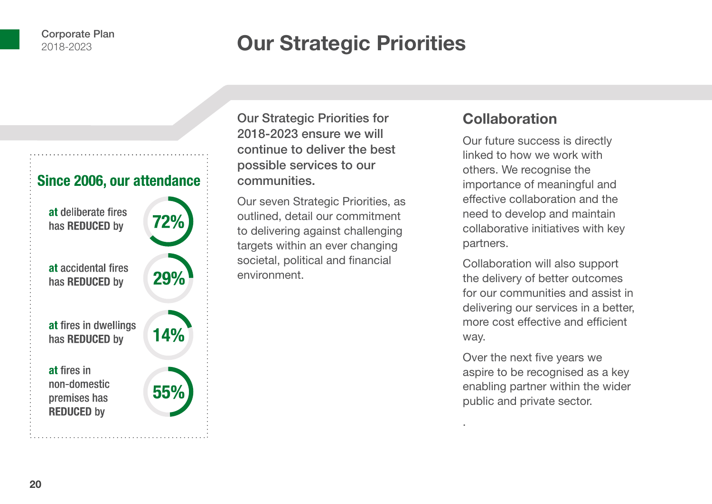## **Our Strategic Priorities**



Our Strategic Priorities for 2018-2023 ensure we will continue to deliver the best possible services to our communities.

Our seven Strategic Priorities, as outlined, detail our commitment to delivering against challenging targets within an ever changing societal, political and financial environment.

### **Collaboration**

Our future success is directly linked to how we work with others. We recognise the importance of meaningful and effective collaboration and the need to develop and maintain collaborative initiatives with key partners.

Collaboration will also support the delivery of better outcomes for our communities and assist in delivering our services in a better, more cost effective and efficient way.

Over the next five years we aspire to be recognised as a key enabling partner within the wider public and private sector.

.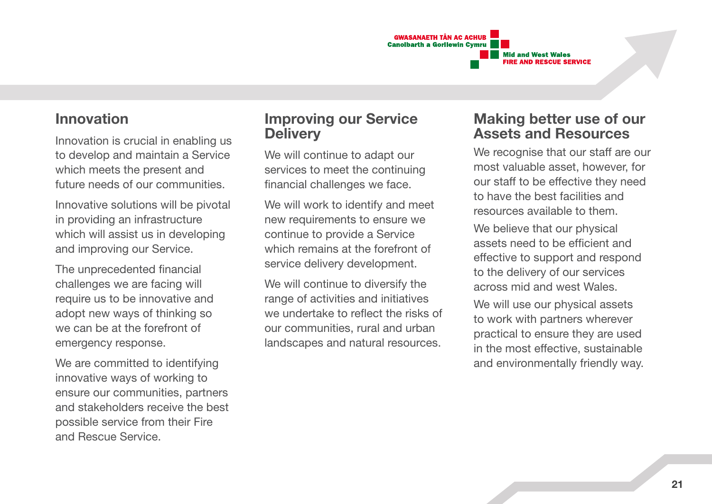

#### **Innovation**

Innovation is crucial in enabling us to develop and maintain a Service which meets the present and future needs of our communities.

Innovative solutions will be pivotal in providing an infrastructure which will assist us in developing and improving our Service.

The unprecedented financial challenges we are facing will require us to be innovative and adopt new ways of thinking so we can be at the forefront of emergency response.

We are committed to identifying innovative ways of working to ensure our communities, partners and stakeholders receive the best possible service from their Fire and Rescue Service.

### **Improving our Service Delivery**

We will continue to adapt our services to meet the continuing financial challenges we face.

We will work to identify and meet new requirements to ensure we continue to provide a Service which remains at the forefront of service delivery development.

We will continue to diversify the range of activities and initiatives we undertake to reflect the risks of our communities, rural and urban landscapes and natural resources.

### **Making better use of our Assets and Resources**

We recognise that our staff are our most valuable asset, however, for our staff to be effective they need to have the best facilities and resources available to them.

We believe that our physical assets need to be efficient and effective to support and respond to the delivery of our services across mid and west Wales.

We will use our physical assets to work with partners wherever practical to ensure they are used in the most effective, sustainable and environmentally friendly way.

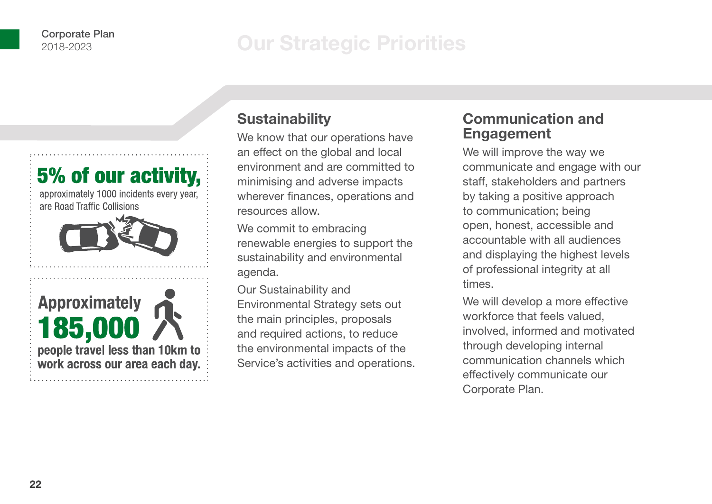## **Our Strategic Priorities**



### **Sustainability**

We know that our operations have an effect on the global and local environment and are committed to minimising and adverse impacts wherever finances, operations and resources allow.

We commit to embracing renewable energies to support the sustainability and environmental agenda.

Our Sustainability and Environmental Strategy sets out the main principles, proposals and required actions, to reduce the environmental impacts of the Service's activities and operations.

### **Communication and Engagement**

We will improve the way we communicate and engage with our staff, stakeholders and partners by taking a positive approach to communication; being open, honest, accessible and accountable with all audiences and displaying the highest levels of professional integrity at all times.

We will develop a more effective workforce that feels valued, involved, informed and motivated through developing internal communication channels which effectively communicate our Corporate Plan.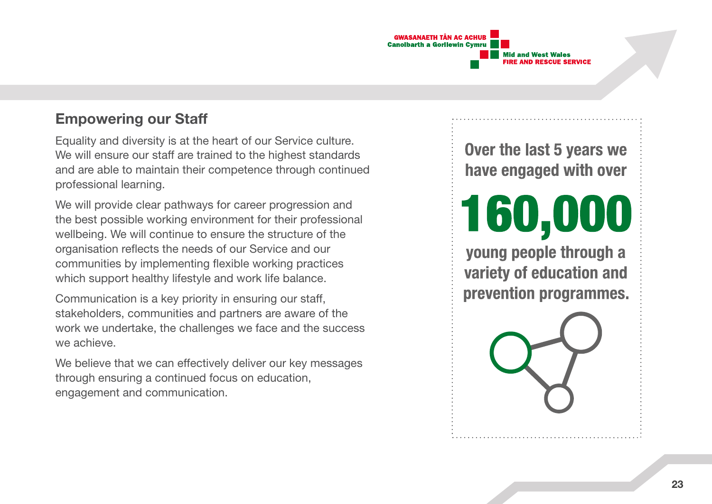

### **Empowering our Staff**

Equality and diversity is at the heart of our Service culture. We will ensure our staff are trained to the highest standards and are able to maintain their competence through continued professional learning.

We will provide clear pathways for career progression and the best possible working environment for their professional wellbeing. We will continue to ensure the structure of the organisation reflects the needs of our Service and our communities by implementing flexible working practices which support healthy lifestyle and work life balance.

Communication is a key priority in ensuring our staff, stakeholders, communities and partners are aware of the work we undertake, the challenges we face and the success we achieve.

We believe that we can effectively deliver our key messages through ensuring a continued focus on education, engagement and communication.

Over the last 5 years we have engaged with over

160,000

young people through a variety of education and prevention programmes.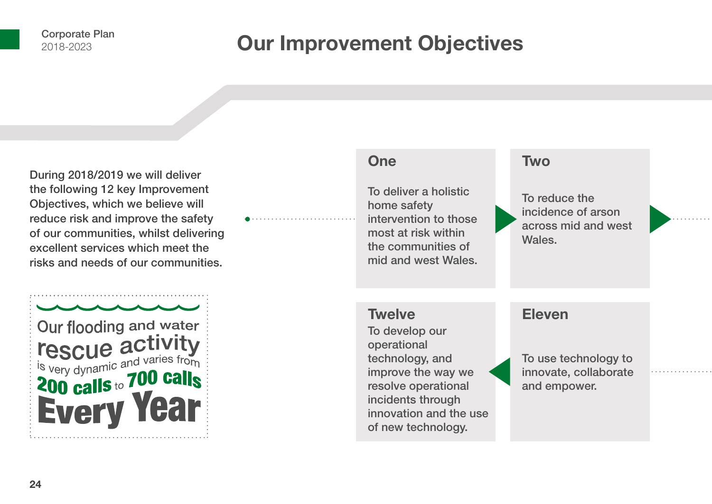## **Our Improvement Objectives**

During 2018/2019 we will deliver the following 12 key Improvement Objectives, which we believe will reduce risk and improve the safety of our communities, whilst delivering excellent services which meet the risks and needs of our communities.



#### To deliver a holistic home safety intervention to those most at risk within the communities of mid and west Wales. To reduce the incidence of arson across mid and west Wales. To use technology to innovate, collaborate and empower. To develop our operational technology, and improve the way we resolve operational incidents through innovation and the use of new technology. **One Twelve Two Eleven**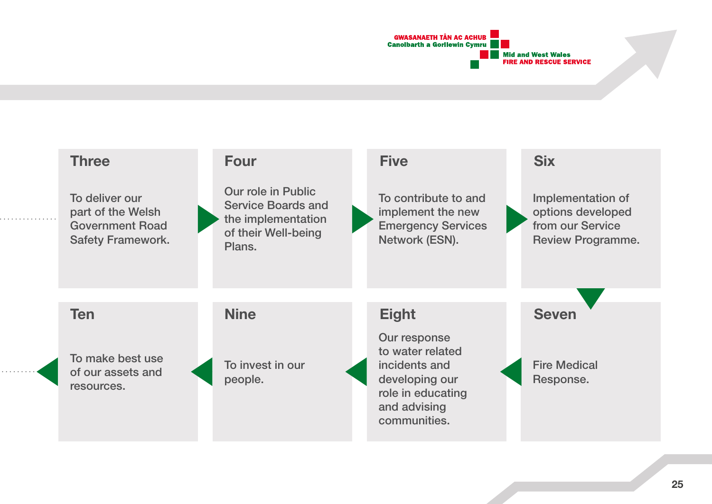

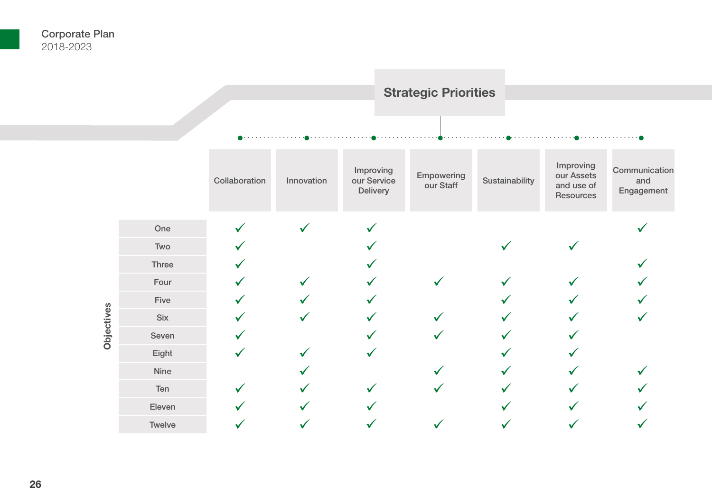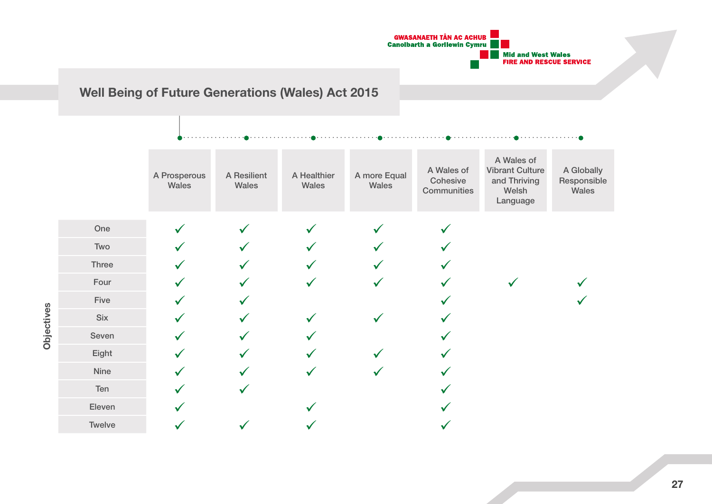

### **Well Being of Future Generations (Wales) Act 2015**

|            |        | A Prosperous<br>Wales | A Resilient<br>Wales | A Healthier<br>Wales | A more Equal<br>Wales | A Wales of<br>Cohesive<br>Communities | A Wales of<br><b>Vibrant Culture</b><br>and Thriving<br>Welsh<br>Language | A Globally<br>Responsible<br>Wales |
|------------|--------|-----------------------|----------------------|----------------------|-----------------------|---------------------------------------|---------------------------------------------------------------------------|------------------------------------|
|            | One    |                       | $\checkmark$         |                      |                       |                                       |                                                                           |                                    |
|            | Two    |                       |                      |                      |                       |                                       |                                                                           |                                    |
|            | Three  |                       |                      |                      |                       |                                       |                                                                           |                                    |
| Objectives | Four   |                       |                      |                      |                       |                                       |                                                                           |                                    |
|            | Five   |                       |                      |                      |                       |                                       |                                                                           |                                    |
|            | Six    |                       |                      | $\checkmark$         |                       |                                       |                                                                           |                                    |
|            | Seven  |                       |                      |                      |                       |                                       |                                                                           |                                    |
|            | Eight  |                       |                      |                      |                       |                                       |                                                                           |                                    |
|            | Nine   |                       |                      | ✓                    |                       |                                       |                                                                           |                                    |
|            | Ten    |                       |                      |                      |                       |                                       |                                                                           |                                    |
|            | Eleven |                       |                      |                      |                       |                                       |                                                                           |                                    |
|            | Twelve |                       |                      |                      |                       |                                       |                                                                           |                                    |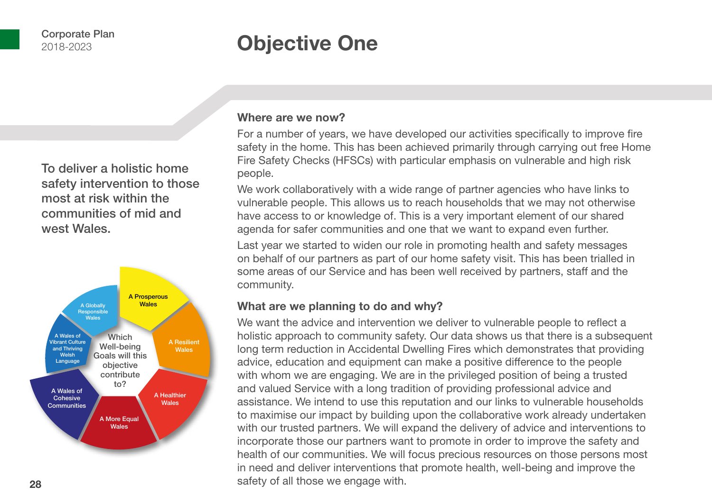## **Objective One**

To deliver a holistic home safety intervention to those most at risk within the communities of mid and west Wales.



#### **Where are we now?**

For a number of years, we have developed our activities specifically to improve fire safety in the home. This has been achieved primarily through carrying out free Home Fire Safety Checks (HFSCs) with particular emphasis on vulnerable and high risk people.

We work collaboratively with a wide range of partner agencies who have links to vulnerable people. This allows us to reach households that we may not otherwise have access to or knowledge of. This is a very important element of our shared agenda for safer communities and one that we want to expand even further.

Last year we started to widen our role in promoting health and safety messages on behalf of our partners as part of our home safety visit. This has been trialled in some areas of our Service and has been well received by partners, staff and the community.

#### **What are we planning to do and why?**

We want the advice and intervention we deliver to vulnerable people to reflect a holistic approach to community safety. Our data shows us that there is a subsequent long term reduction in Accidental Dwelling Fires which demonstrates that providing advice, education and equipment can make a positive difference to the people with whom we are engaging. We are in the privileged position of being a trusted and valued Service with a long tradition of providing professional advice and assistance. We intend to use this reputation and our links to vulnerable households to maximise our impact by building upon the collaborative work already undertaken with our trusted partners. We will expand the delivery of advice and interventions to incorporate those our partners want to promote in order to improve the safety and health of our communities. We will focus precious resources on those persons most in need and deliver interventions that promote health, well-being and improve the safety of all those we engage with.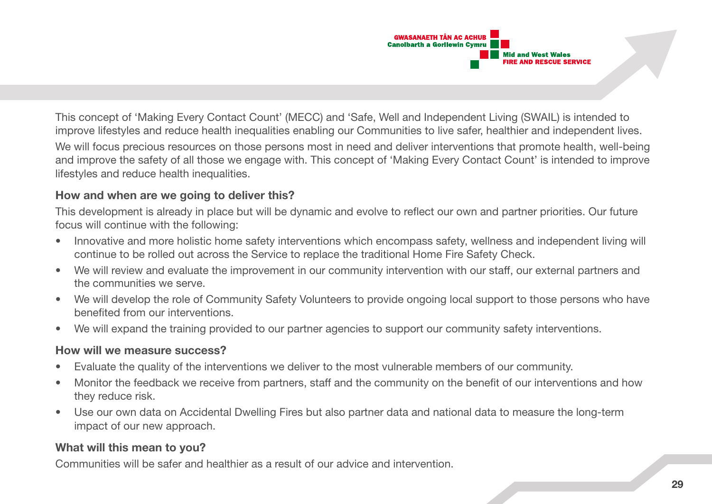

This concept of 'Making Every Contact Count' (MECC) and 'Safe, Well and Independent Living (SWAIL) is intended to improve lifestyles and reduce health inequalities enabling our Communities to live safer, healthier and independent lives. We will focus precious resources on those persons most in need and deliver interventions that promote health, well-being and improve the safety of all those we engage with. This concept of 'Making Every Contact Count' is intended to improve lifestyles and reduce health inequalities.

#### **How and when are we going to deliver this?**

This development is already in place but will be dynamic and evolve to reflect our own and partner priorities. Our future focus will continue with the following:

- Innovative and more holistic home safety interventions which encompass safety, wellness and independent living will continue to be rolled out across the Service to replace the traditional Home Fire Safety Check.
- We will review and evaluate the improvement in our community intervention with our staff, our external partners and the communities we serve.
- We will develop the role of Community Safety Volunteers to provide ongoing local support to those persons who have benefited from our interventions.
- We will expand the training provided to our partner agencies to support our community safety interventions.

#### **How will we measure success?**

- Evaluate the quality of the interventions we deliver to the most vulnerable members of our community.
- Monitor the feedback we receive from partners, staff and the community on the benefit of our interventions and how they reduce risk.
- Use our own data on Accidental Dwelling Fires but also partner data and national data to measure the long-term impact of our new approach.

#### **What will this mean to you?**

Communities will be safer and healthier as a result of our advice and intervention.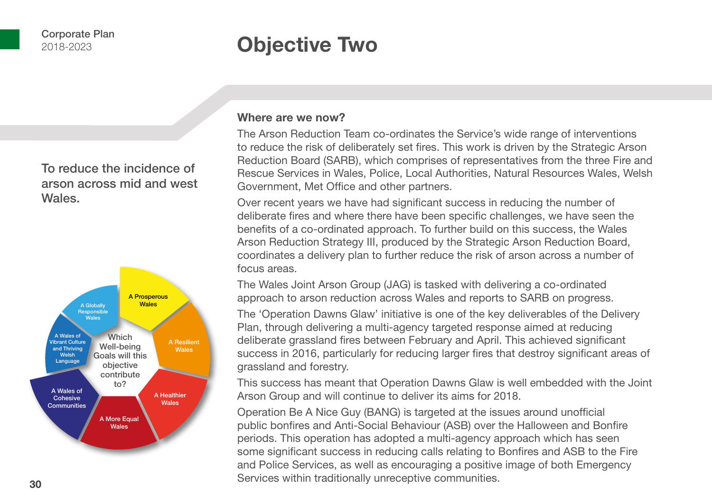## **Objective Two**

To reduce the incidence of arson across mid and west Wales.



#### **Where are we now?**

The Arson Reduction Team co-ordinates the Service's wide range of interventions to reduce the risk of deliberately set fires. This work is driven by the Strategic Arson Reduction Board (SARB), which comprises of representatives from the three Fire and Rescue Services in Wales, Police, Local Authorities, Natural Resources Wales, Welsh Government, Met Office and other partners.

Over recent years we have had significant success in reducing the number of deliberate fires and where there have been specific challenges, we have seen the benefits of a co-ordinated approach. To further build on this success, the Wales Arson Reduction Strategy III, produced by the Strategic Arson Reduction Board, coordinates a delivery plan to further reduce the risk of arson across a number of focus areas.

The Wales Joint Arson Group (JAG) is tasked with delivering a co-ordinated approach to arson reduction across Wales and reports to SARB on progress.

The 'Operation Dawns Glaw' initiative is one of the key deliverables of the Delivery Plan, through delivering a multi-agency targeted response aimed at reducing deliberate grassland fires between February and April. This achieved significant success in 2016, particularly for reducing larger fires that destroy significant areas of grassland and forestry.

This success has meant that Operation Dawns Glaw is well embedded with the Joint Arson Group and will continue to deliver its aims for 2018.

Operation Be A Nice Guy (BANG) is targeted at the issues around unofficial public bonfires and Anti-Social Behaviour (ASB) over the Halloween and Bonfire periods. This operation has adopted a multi-agency approach which has seen some significant success in reducing calls relating to Bonfires and ASB to the Fire and Police Services, as well as encouraging a positive image of both Emergency Services within traditionally unreceptive communities.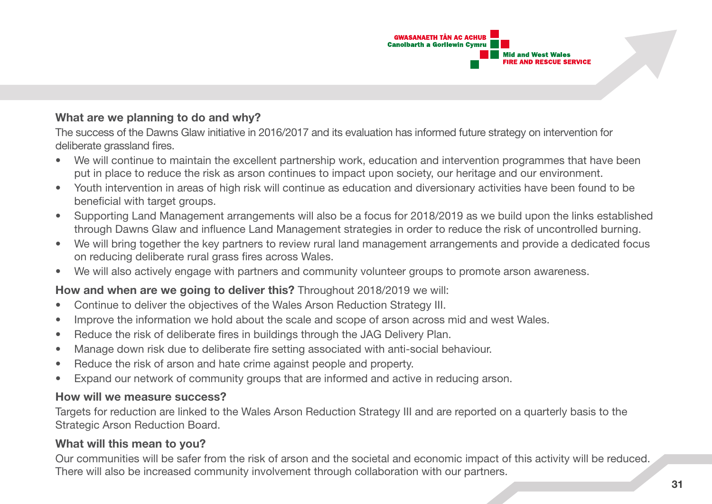

#### **What are we planning to do and why?**

The success of the Dawns Glaw initiative in 2016/2017 and its evaluation has informed future strategy on intervention for deliberate grassland fires.

- We will continue to maintain the excellent partnership work, education and intervention programmes that have been put in place to reduce the risk as arson continues to impact upon society, our heritage and our environment.
- Youth intervention in areas of high risk will continue as education and diversionary activities have been found to be beneficial with target groups.
- Supporting Land Management arrangements will also be a focus for 2018/2019 as we build upon the links established through Dawns Glaw and influence Land Management strategies in order to reduce the risk of uncontrolled burning.
- We will bring together the key partners to review rural land management arrangements and provide a dedicated focus on reducing deliberate rural grass fires across Wales.
- We will also actively engage with partners and community volunteer groups to promote arson awareness.

#### **How and when are we going to deliver this?** Throughout 2018/2019 we will:

- Continue to deliver the objectives of the Wales Arson Reduction Strategy III.
- Improve the information we hold about the scale and scope of arson across mid and west Wales.
- Reduce the risk of deliberate fires in buildings through the JAG Delivery Plan.
- Manage down risk due to deliberate fire setting associated with anti-social behaviour.
- Reduce the risk of arson and hate crime against people and property.
- Expand our network of community groups that are informed and active in reducing arson.

#### **How will we measure success?**

Targets for reduction are linked to the Wales Arson Reduction Strategy III and are reported on a quarterly basis to the Strategic Arson Reduction Board.

#### **What will this mean to you?**

Our communities will be safer from the risk of arson and the societal and economic impact of this activity will be reduced. There will also be increased community involvement through collaboration with our partners.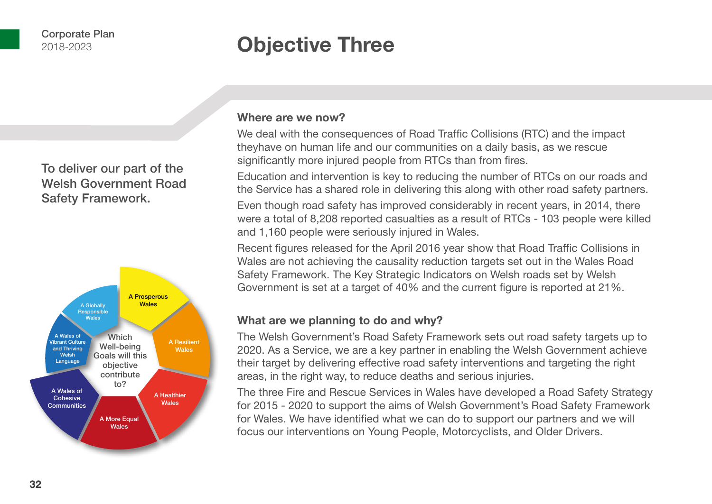## **Objective Three**

To deliver our part of the Welsh Government Road Safety Framework.



#### **Where are we now?**

We deal with the consequences of Road Traffic Collisions (RTC) and the impact theyhave on human life and our communities on a daily basis, as we rescue significantly more injured people from RTCs than from fires.

Education and intervention is key to reducing the number of RTCs on our roads and the Service has a shared role in delivering this along with other road safety partners.

Even though road safety has improved considerably in recent years, in 2014, there were a total of 8,208 reported casualties as a result of RTCs - 103 people were killed and 1,160 people were seriously injured in Wales.

Recent figures released for the April 2016 year show that Road Traffic Collisions in Wales are not achieving the causality reduction targets set out in the Wales Road Safety Framework. The Key Strategic Indicators on Welsh roads set by Welsh Government is set at a target of 40% and the current figure is reported at 21%.

#### **What are we planning to do and why?**

The Welsh Government's Road Safety Framework sets out road safety targets up to 2020. As a Service, we are a key partner in enabling the Welsh Government achieve their target by delivering effective road safety interventions and targeting the right areas, in the right way, to reduce deaths and serious injuries.

The three Fire and Rescue Services in Wales have developed a Road Safety Strategy for 2015 - 2020 to support the aims of Welsh Government's Road Safety Framework for Wales. We have identified what we can do to support our partners and we will focus our interventions on Young People, Motorcyclists, and Older Drivers.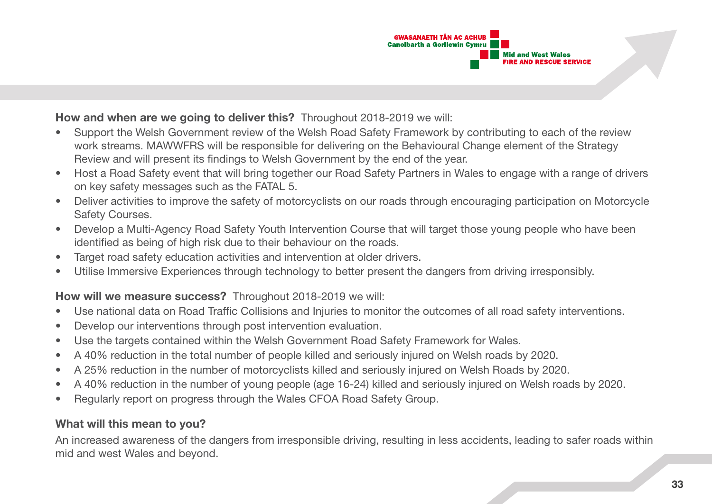

#### **How and when are we going to deliver this?** Throughout 2018-2019 we will:

- Support the Welsh Government review of the Welsh Road Safety Framework by contributing to each of the review work streams. MAWWFRS will be responsible for delivering on the Behavioural Change element of the Strategy Review and will present its findings to Welsh Government by the end of the year.
- Host a Road Safety event that will bring together our Road Safety Partners in Wales to engage with a range of drivers on key safety messages such as the FATAL 5.
- Deliver activities to improve the safety of motorcyclists on our roads through encouraging participation on Motorcycle Safety Courses.
- Develop a Multi-Agency Road Safety Youth Intervention Course that will target those young people who have been identified as being of high risk due to their behaviour on the roads.
- Target road safety education activities and intervention at older drivers.
- Utilise Immersive Experiences through technology to better present the dangers from driving irresponsibly.

#### **How will we measure success?** Throughout 2018-2019 we will:

- Use national data on Road Traffic Collisions and Injuries to monitor the outcomes of all road safety interventions.
- Develop our interventions through post intervention evaluation.
- Use the targets contained within the Welsh Government Road Safety Framework for Wales.
- A 40% reduction in the total number of people killed and seriously injured on Welsh roads by 2020.
- A 25% reduction in the number of motorcyclists killed and seriously injured on Welsh Roads by 2020.
- A 40% reduction in the number of young people (age 16-24) killed and seriously injured on Welsh roads by 2020.
- Regularly report on progress through the Wales CFOA Road Safety Group.

#### **What will this mean to you?**

An increased awareness of the dangers from irresponsible driving, resulting in less accidents, leading to safer roads within mid and west Wales and beyond.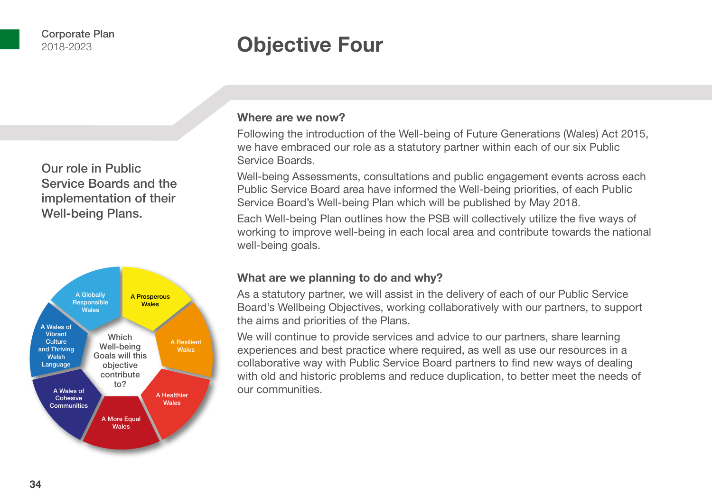### **Objective Four**

Our role in Public Service Boards and the implementation of their Well-being Plans.



#### **Where are we now?**

Following the introduction of the Well-being of Future Generations (Wales) Act 2015, we have embraced our role as a statutory partner within each of our six Public Service Boards.

Well-being Assessments, consultations and public engagement events across each Public Service Board area have informed the Well-being priorities, of each Public Service Board's Well-being Plan which will be published by May 2018.

Each Well-being Plan outlines how the PSB will collectively utilize the five ways of working to improve well-being in each local area and contribute towards the national well-being goals.

#### **What are we planning to do and why?**

As a statutory partner, we will assist in the delivery of each of our Public Service Board's Wellbeing Objectives, working collaboratively with our partners, to support the aims and priorities of the Plans.

We will continue to provide services and advice to our partners, share learning experiences and best practice where required, as well as use our resources in a collaborative way with Public Service Board partners to find new ways of dealing with old and historic problems and reduce duplication, to better meet the needs of our communities.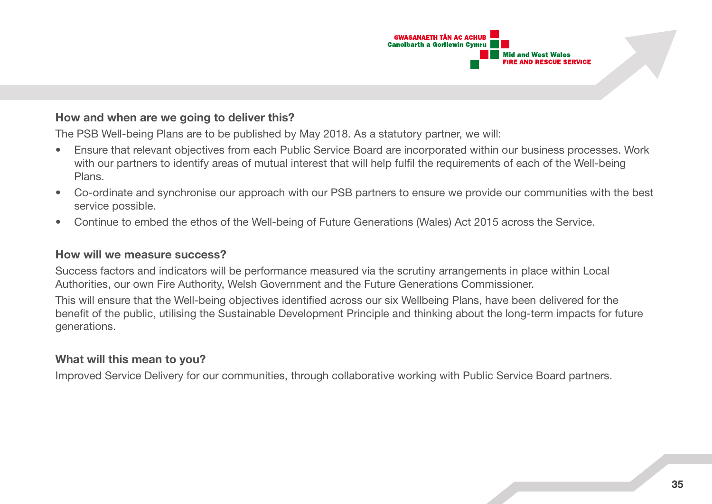

#### **How and when are we going to deliver this?**

The PSB Well-being Plans are to be published by May 2018. As a statutory partner, we will:

- Ensure that relevant objectives from each Public Service Board are incorporated within our business processes. Work with our partners to identify areas of mutual interest that will help fulfil the requirements of each of the Well-being Plans.
- Co-ordinate and synchronise our approach with our PSB partners to ensure we provide our communities with the best service possible.
- Continue to embed the ethos of the Well-being of Future Generations (Wales) Act 2015 across the Service.

#### **How will we measure success?**

Success factors and indicators will be performance measured via the scrutiny arrangements in place within Local Authorities, our own Fire Authority, Welsh Government and the Future Generations Commissioner.

This will ensure that the Well-being objectives identified across our six Wellbeing Plans, have been delivered for the benefit of the public, utilising the Sustainable Development Principle and thinking about the long-term impacts for future generations.

#### **What will this mean to you?**

Improved Service Delivery for our communities, through collaborative working with Public Service Board partners.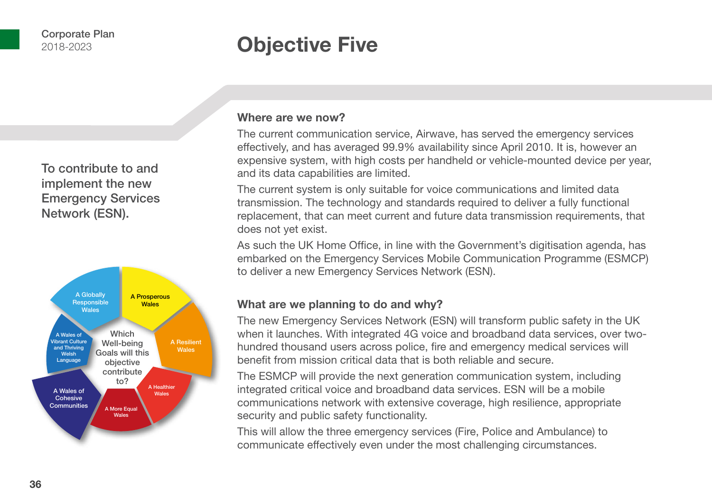## **Objective Five**

To contribute to and implement the new Emergency Services Network (ESN).



#### **Where are we now?**

The current communication service, Airwave, has served the emergency services effectively, and has averaged 99.9% availability since April 2010. It is, however an expensive system, with high costs per handheld or vehicle-mounted device per year, and its data capabilities are limited.

The current system is only suitable for voice communications and limited data transmission. The technology and standards required to deliver a fully functional replacement, that can meet current and future data transmission requirements, that does not yet exist.

As such the UK Home Office, in line with the Government's digitisation agenda, has embarked on the Emergency Services Mobile Communication Programme (ESMCP) to deliver a new Emergency Services Network (ESN).

#### **What are we planning to do and why?**

The new Emergency Services Network (ESN) will transform public safety in the UK when it launches. With integrated 4G voice and broadband data services, over twohundred thousand users across police, fire and emergency medical services will benefit from mission critical data that is both reliable and secure.

The ESMCP will provide the next generation communication system, including integrated critical voice and broadband data services. ESN will be a mobile communications network with extensive coverage, high resilience, appropriate security and public safety functionality.

This will allow the three emergency services (Fire, Police and Ambulance) to communicate effectively even under the most challenging circumstances.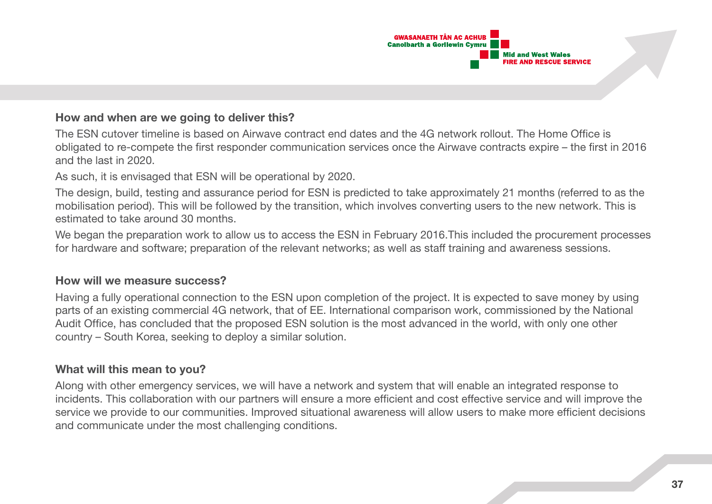

#### **How and when are we going to deliver this?**

The ESN cutover timeline is based on Airwave contract end dates and the 4G network rollout. The Home Office is obligated to re-compete the first responder communication services once the Airwave contracts expire – the first in 2016 and the last in 2020.

As such, it is envisaged that ESN will be operational by 2020.

The design, build, testing and assurance period for ESN is predicted to take approximately 21 months (referred to as the mobilisation period). This will be followed by the transition, which involves converting users to the new network. This is estimated to take around 30 months.

We began the preparation work to allow us to access the ESN in February 2016. This included the procurement processes for hardware and software; preparation of the relevant networks; as well as staff training and awareness sessions.

#### **How will we measure success?**

Having a fully operational connection to the ESN upon completion of the project. It is expected to save money by using parts of an existing commercial 4G network, that of EE. International comparison work, commissioned by the National Audit Office, has concluded that the proposed ESN solution is the most advanced in the world, with only one other country – South Korea, seeking to deploy a similar solution.

#### **What will this mean to you?**

Along with other emergency services, we will have a network and system that will enable an integrated response to incidents. This collaboration with our partners will ensure a more efficient and cost effective service and will improve the service we provide to our communities. Improved situational awareness will allow users to make more efficient decisions and communicate under the most challenging conditions.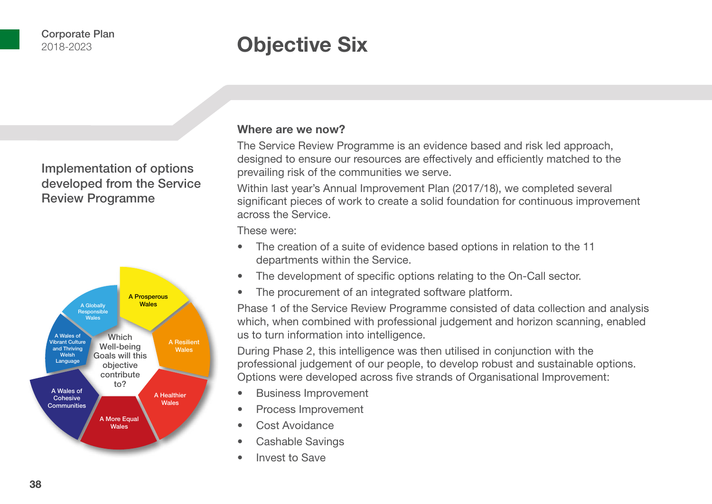## **Objective Six**

### Implementation of options developed from the Service Review Programme



#### **Where are we now?**

The Service Review Programme is an evidence based and risk led approach, designed to ensure our resources are effectively and efficiently matched to the prevailing risk of the communities we serve.

Within last year's Annual Improvement Plan (2017/18), we completed several significant pieces of work to create a solid foundation for continuous improvement across the Service.

These were:

- The creation of a suite of evidence based options in relation to the 11 departments within the Service.
- The development of specific options relating to the On-Call sector.
- The procurement of an integrated software platform.

Phase 1 of the Service Review Programme consisted of data collection and analysis which, when combined with professional judgement and horizon scanning, enabled us to turn information into intelligence.

During Phase 2, this intelligence was then utilised in conjunction with the professional judgement of our people, to develop robust and sustainable options. Options were developed across five strands of Organisational Improvement:

- Business Improvement
- Process Improvement
- Cost Avoidance
- Cashable Savings
- Invest to Save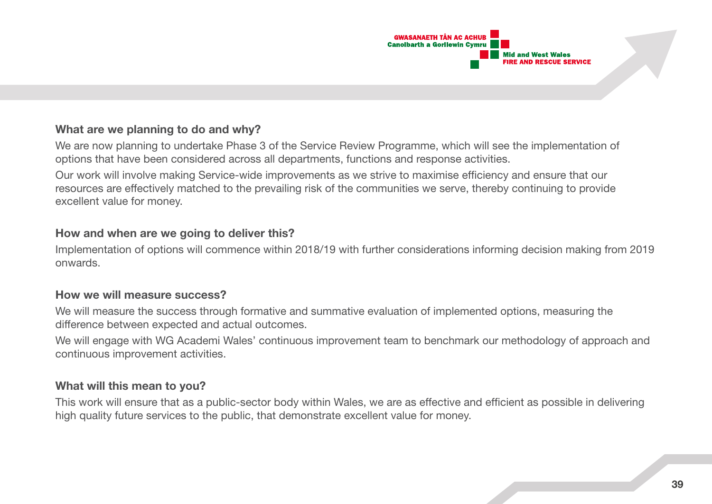

#### **What are we planning to do and why?**

We are now planning to undertake Phase 3 of the Service Review Programme, which will see the implementation of options that have been considered across all departments, functions and response activities.

Our work will involve making Service-wide improvements as we strive to maximise efficiency and ensure that our resources are effectively matched to the prevailing risk of the communities we serve, thereby continuing to provide excellent value for money.

#### **How and when are we going to deliver this?**

Implementation of options will commence within 2018/19 with further considerations informing decision making from 2019 onwards.

#### **How we will measure success?**

We will measure the success through formative and summative evaluation of implemented options, measuring the difference between expected and actual outcomes.

We will engage with WG Academi Wales' continuous improvement team to benchmark our methodology of approach and continuous improvement activities.

#### **What will this mean to you?**

This work will ensure that as a public-sector body within Wales, we are as effective and efficient as possible in delivering high quality future services to the public, that demonstrate excellent value for money.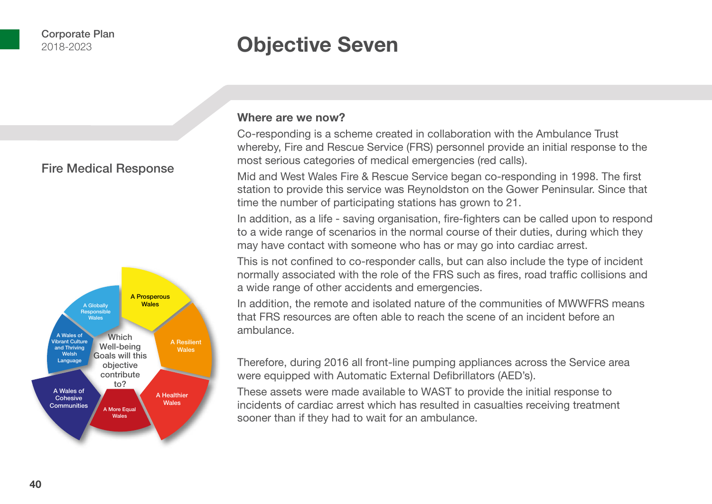### **Objective Seven**

#### Fire Medical Response



#### **Where are we now?**

Co-responding is a scheme created in collaboration with the Ambulance Trust whereby, Fire and Rescue Service (FRS) personnel provide an initial response to the most serious categories of medical emergencies (red calls).

Mid and West Wales Fire & Rescue Service began co-responding in 1998. The first station to provide this service was Reynoldston on the Gower Peninsular. Since that time the number of participating stations has grown to 21.

In addition, as a life - saving organisation, fire-fighters can be called upon to respond to a wide range of scenarios in the normal course of their duties, during which they may have contact with someone who has or may go into cardiac arrest.

This is not confined to co-responder calls, but can also include the type of incident normally associated with the role of the FRS such as fires, road traffic collisions and a wide range of other accidents and emergencies.

In addition, the remote and isolated nature of the communities of MWWFRS means that FRS resources are often able to reach the scene of an incident before an ambulance.

Therefore, during 2016 all front-line pumping appliances across the Service area were equipped with Automatic External Defibrillators (AED's).

These assets were made available to WAST to provide the initial response to incidents of cardiac arrest which has resulted in casualties receiving treatment sooner than if they had to wait for an ambulance.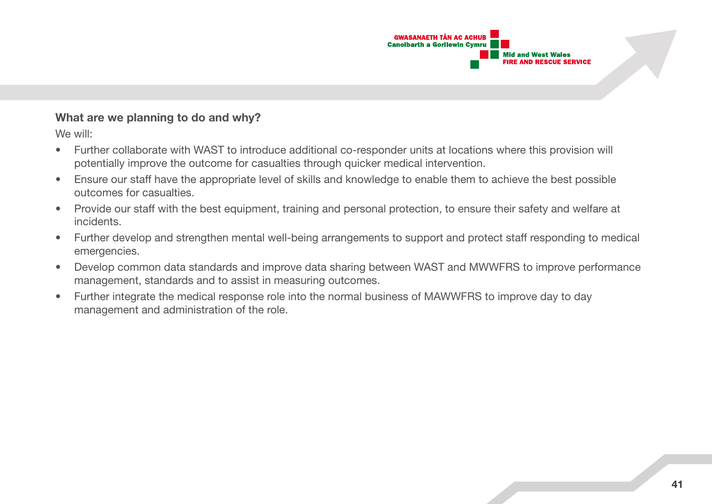

#### **What are we planning to do and why?**

We will:

- Further collaborate with WAST to introduce additional co-responder units at locations where this provision will potentially improve the outcome for casualties through quicker medical intervention.
- Ensure our staff have the appropriate level of skills and knowledge to enable them to achieve the best possible outcomes for casualties.
- Provide our staff with the best equipment, training and personal protection, to ensure their safety and welfare at incidents.
- Further develop and strengthen mental well-being arrangements to support and protect staff responding to medical emergencies.
- Develop common data standards and improve data sharing between WAST and MWWFRS to improve performance management, standards and to assist in measuring outcomes.
- Further integrate the medical response role into the normal business of MAWWFRS to improve day to day management and administration of the role.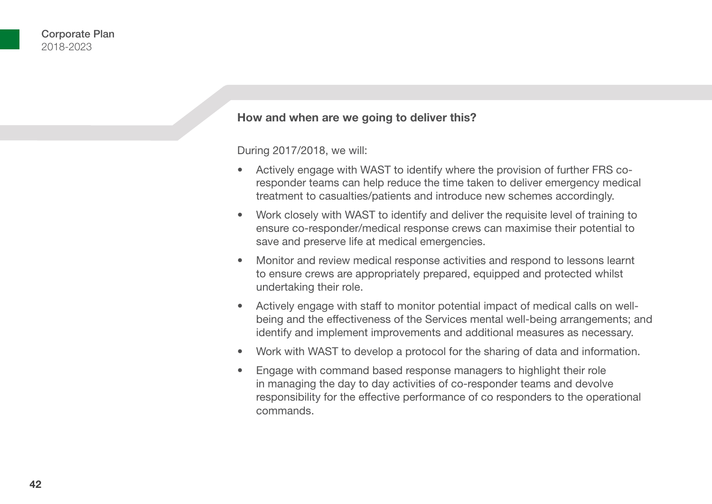#### **How and when are we going to deliver this?**

During 2017/2018, we will:

- Actively engage with WAST to identify where the provision of further FRS coresponder teams can help reduce the time taken to deliver emergency medical treatment to casualties/patients and introduce new schemes accordingly.
- Work closely with WAST to identify and deliver the requisite level of training to ensure co-responder/medical response crews can maximise their potential to save and preserve life at medical emergencies.
- Monitor and review medical response activities and respond to lessons learnt to ensure crews are appropriately prepared, equipped and protected whilst undertaking their role.
- Actively engage with staff to monitor potential impact of medical calls on wellbeing and the effectiveness of the Services mental well-being arrangements; and identify and implement improvements and additional measures as necessary.
- Work with WAST to develop a protocol for the sharing of data and information.
- Engage with command based response managers to highlight their role in managing the day to day activities of co-responder teams and devolve responsibility for the effective performance of co responders to the operational commands.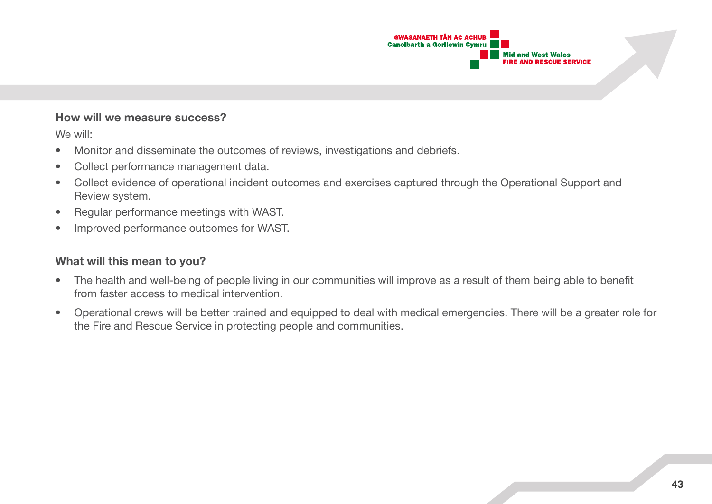

#### **How will we measure success?**

We will:

- Monitor and disseminate the outcomes of reviews, investigations and debriefs.
- Collect performance management data.
- Collect evidence of operational incident outcomes and exercises captured through the Operational Support and Review system.
- Regular performance meetings with WAST.
- Improved performance outcomes for WAST.

#### **What will this mean to you?**

- The health and well-being of people living in our communities will improve as a result of them being able to benefit from faster access to medical intervention.
- Operational crews will be better trained and equipped to deal with medical emergencies. There will be a greater role for the Fire and Rescue Service in protecting people and communities.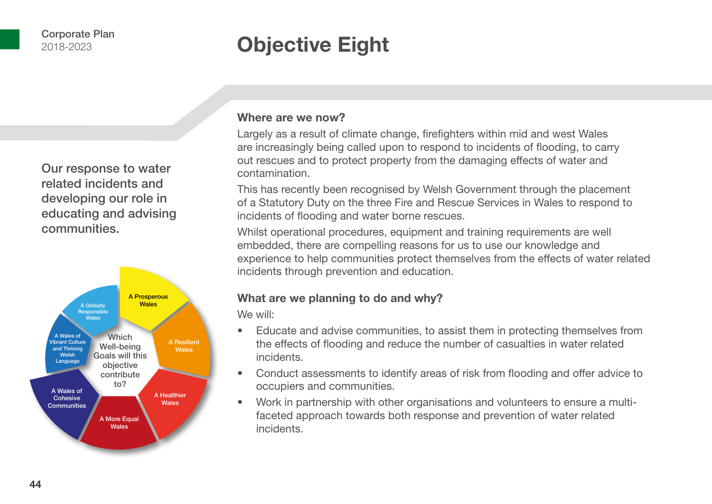## **Objective Eight**

Our response to water related incidents and developing our role in educating and advising communities.



#### **Where are we now?**

Largely as a result of climate change, firefighters within mid and west Wales are increasingly being called upon to respond to incidents of flooding, to carry out rescues and to protect property from the damaging effects of water and contamination.

This has recently been recognised by Welsh Government through the placement of a Statutory Duty on the three Fire and Rescue Services in Wales to respond to incidents of flooding and water borne rescues.

Whilst operational procedures, equipment and training requirements are well embedded, there are compelling reasons for us to use our knowledge and experience to help communities protect themselves from the effects of water related incidents through prevention and education.

#### **What are we planning to do and why?**

We will:

- Educate and advise communities, to assist them in protecting themselves from the effects of flooding and reduce the number of casualties in water related incidents.
- Conduct assessments to identify areas of risk from flooding and offer advice to occupiers and communities.
- Work in partnership with other organisations and volunteers to ensure a multifaceted approach towards both response and prevention of water related incidents.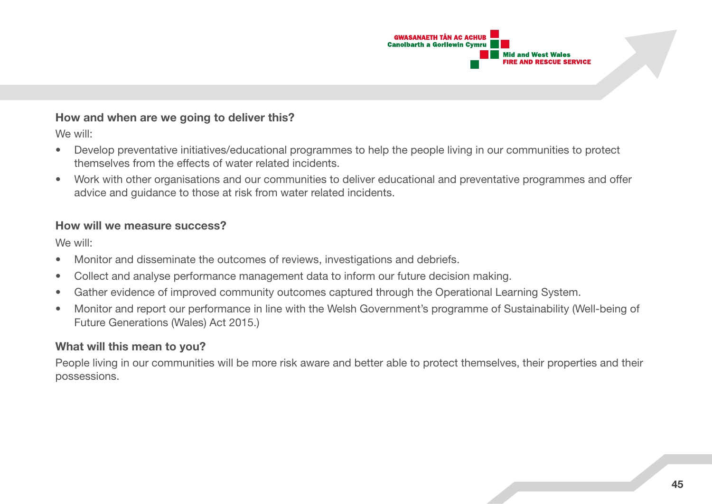

#### **How and when are we going to deliver this?**

We will:

- Develop preventative initiatives/educational programmes to help the people living in our communities to protect themselves from the effects of water related incidents.
- Work with other organisations and our communities to deliver educational and preventative programmes and offer advice and guidance to those at risk from water related incidents.

#### **How will we measure success?**

We will:

- Monitor and disseminate the outcomes of reviews, investigations and debriefs.
- Collect and analyse performance management data to inform our future decision making.
- Gather evidence of improved community outcomes captured through the Operational Learning System.
- Monitor and report our performance in line with the Welsh Government's programme of Sustainability (Well-being of Future Generations (Wales) Act 2015.)

#### **What will this mean to you?**

People living in our communities will be more risk aware and better able to protect themselves, their properties and their possessions.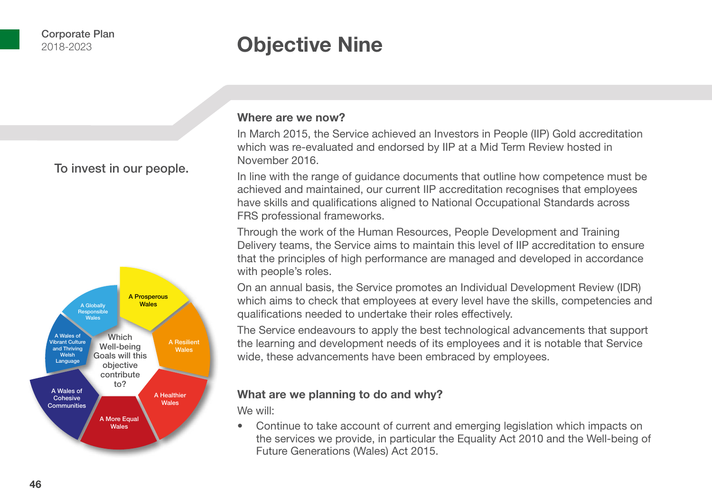## **Objective Nine**

To invest in our people.



#### **Where are we now?**

In March 2015, the Service achieved an Investors in People (IIP) Gold accreditation which was re-evaluated and endorsed by IIP at a Mid Term Review hosted in November 2016.

In line with the range of guidance documents that outline how competence must be achieved and maintained, our current IIP accreditation recognises that employees have skills and qualifications aligned to National Occupational Standards across FRS professional frameworks.

Through the work of the Human Resources, People Development and Training Delivery teams, the Service aims to maintain this level of IIP accreditation to ensure that the principles of high performance are managed and developed in accordance with people's roles.

On an annual basis, the Service promotes an Individual Development Review (IDR) which aims to check that employees at every level have the skills, competencies and qualifications needed to undertake their roles effectively.

The Service endeavours to apply the best technological advancements that support the learning and development needs of its employees and it is notable that Service wide, these advancements have been embraced by employees.

#### **What are we planning to do and why?**

We will:

• Continue to take account of current and emerging legislation which impacts on the services we provide, in particular the Equality Act 2010 and the Well-being of Future Generations (Wales) Act 2015.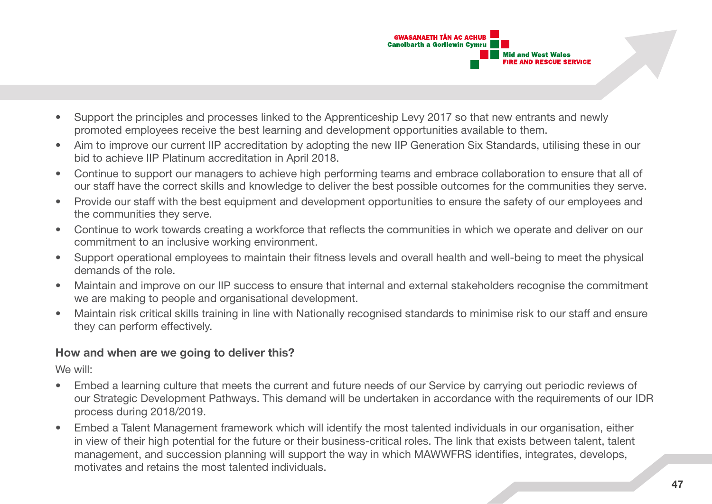

- Support the principles and processes linked to the Apprenticeship Levy 2017 so that new entrants and newly promoted employees receive the best learning and development opportunities available to them.
- Aim to improve our current IIP accreditation by adopting the new IIP Generation Six Standards, utilising these in our bid to achieve IIP Platinum accreditation in April 2018.
- Continue to support our managers to achieve high performing teams and embrace collaboration to ensure that all of our staff have the correct skills and knowledge to deliver the best possible outcomes for the communities they serve.
- Provide our staff with the best equipment and development opportunities to ensure the safety of our employees and the communities they serve.
- Continue to work towards creating a workforce that reflects the communities in which we operate and deliver on our commitment to an inclusive working environment.
- Support operational employees to maintain their fitness levels and overall health and well-being to meet the physical demands of the role.
- Maintain and improve on our IIP success to ensure that internal and external stakeholders recognise the commitment we are making to people and organisational development.
- Maintain risk critical skills training in line with Nationally recognised standards to minimise risk to our staff and ensure they can perform effectively.

#### **How and when are we going to deliver this?**

We will:

- Embed a learning culture that meets the current and future needs of our Service by carrying out periodic reviews of our Strategic Development Pathways. This demand will be undertaken in accordance with the requirements of our IDR process during 2018/2019.
- Embed a Talent Management framework which will identify the most talented individuals in our organisation, either in view of their high potential for the future or their business-critical roles. The link that exists between talent, talent management, and succession planning will support the way in which MAWWFRS identifies, integrates, develops, motivates and retains the most talented individuals.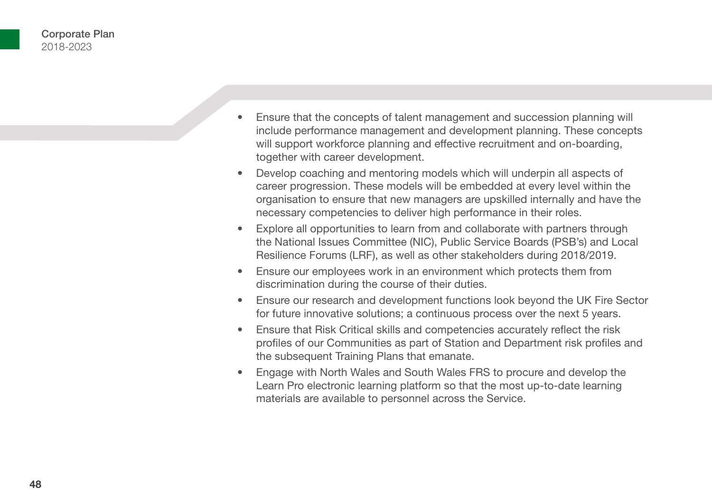- Ensure that the concepts of talent management and succession planning will include performance management and development planning. These concepts will support workforce planning and effective recruitment and on-boarding, together with career development.
- Develop coaching and mentoring models which will underpin all aspects of career progression. These models will be embedded at every level within the organisation to ensure that new managers are upskilled internally and have the necessary competencies to deliver high performance in their roles.
- Explore all opportunities to learn from and collaborate with partners through the National Issues Committee (NIC), Public Service Boards (PSB's) and Local Resilience Forums (LRF), as well as other stakeholders during 2018/2019.
- Ensure our employees work in an environment which protects them from discrimination during the course of their duties.
- Ensure our research and development functions look beyond the UK Fire Sector for future innovative solutions; a continuous process over the next 5 years.
- Ensure that Risk Critical skills and competencies accurately reflect the risk profiles of our Communities as part of Station and Department risk profiles and the subsequent Training Plans that emanate.
- Engage with North Wales and South Wales FRS to procure and develop the Learn Pro electronic learning platform so that the most up-to-date learning materials are available to personnel across the Service.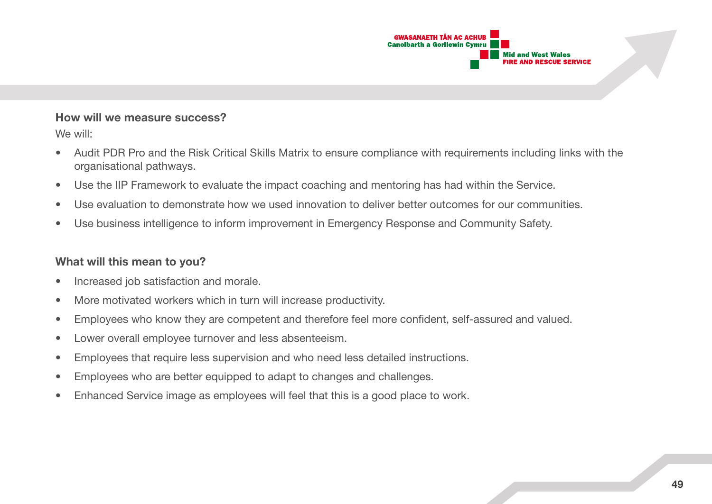

#### **How will we measure success?**

We will:

- Audit PDR Pro and the Risk Critical Skills Matrix to ensure compliance with requirements including links with the organisational pathways.
- Use the IIP Framework to evaluate the impact coaching and mentoring has had within the Service.
- Use evaluation to demonstrate how we used innovation to deliver better outcomes for our communities.
- Use business intelligence to inform improvement in Emergency Response and Community Safety.

#### **What will this mean to you?**

- Increased job satisfaction and morale.
- More motivated workers which in turn will increase productivity.
- Employees who know they are competent and therefore feel more confident, self-assured and valued.
- Lower overall employee turnover and less absenteeism.
- Employees that require less supervision and who need less detailed instructions.
- Employees who are better equipped to adapt to changes and challenges.
- Enhanced Service image as employees will feel that this is a good place to work.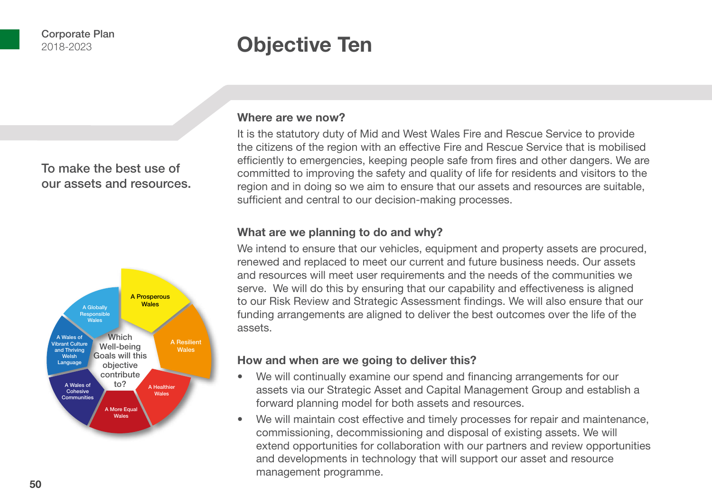## **Objective Ten**

To make the best use of our assets and resources.



#### **Where are we now?**

It is the statutory duty of Mid and West Wales Fire and Rescue Service to provide the citizens of the region with an effective Fire and Rescue Service that is mobilised efficiently to emergencies, keeping people safe from fires and other dangers. We are committed to improving the safety and quality of life for residents and visitors to the region and in doing so we aim to ensure that our assets and resources are suitable, sufficient and central to our decision-making processes.

#### **What are we planning to do and why?**

We intend to ensure that our vehicles, equipment and property assets are procured, renewed and replaced to meet our current and future business needs. Our assets and resources will meet user requirements and the needs of the communities we serve. We will do this by ensuring that our capability and effectiveness is aligned to our Risk Review and Strategic Assessment findings. We will also ensure that our funding arrangements are aligned to deliver the best outcomes over the life of the assets.

#### **How and when are we going to deliver this?**

- We will continually examine our spend and financing arrangements for our assets via our Strategic Asset and Capital Management Group and establish a forward planning model for both assets and resources.
- We will maintain cost effective and timely processes for repair and maintenance, commissioning, decommissioning and disposal of existing assets. We will extend opportunities for collaboration with our partners and review opportunities and developments in technology that will support our asset and resource management programme.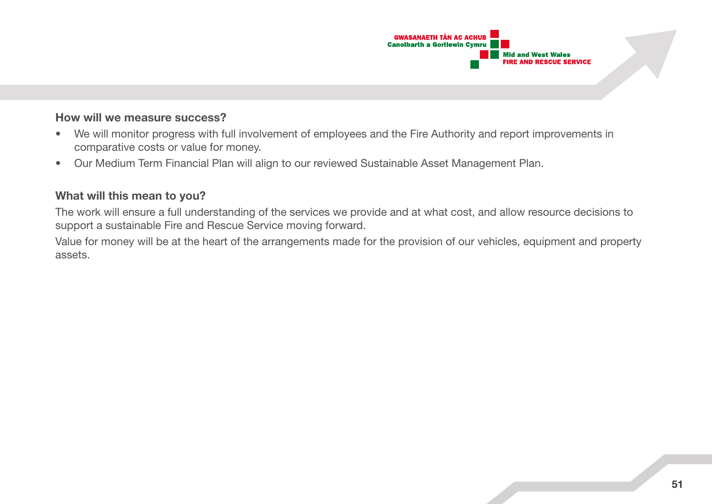

#### **How will we measure success?**

- We will monitor progress with full involvement of employees and the Fire Authority and report improvements in comparative costs or value for money.
- Our Medium Term Financial Plan will align to our reviewed Sustainable Asset Management Plan.

#### **What will this mean to you?**

The work will ensure a full understanding of the services we provide and at what cost, and allow resource decisions to support a sustainable Fire and Rescue Service moving forward.

Value for money will be at the heart of the arrangements made for the provision of our vehicles, equipment and property assets.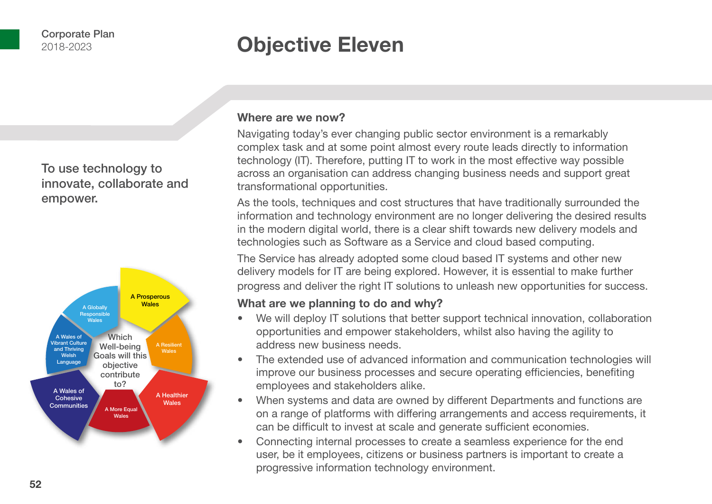### **Objective Eleven**

To use technology to innovate, collaborate and empower.



#### **Where are we now?**

Navigating today's ever changing public sector environment is a remarkably complex task and at some point almost every route leads directly to information technology (IT). Therefore, putting IT to work in the most effective way possible across an organisation can address changing business needs and support great transformational opportunities.

As the tools, techniques and cost structures that have traditionally surrounded the information and technology environment are no longer delivering the desired results in the modern digital world, there is a clear shift towards new delivery models and technologies such as Software as a Service and cloud based computing.

The Service has already adopted some cloud based IT systems and other new delivery models for IT are being explored. However, it is essential to make further progress and deliver the right IT solutions to unleash new opportunities for success.

#### **What are we planning to do and why?**

- We will deploy IT solutions that better support technical innovation, collaboration opportunities and empower stakeholders, whilst also having the agility to address new business needs.
- The extended use of advanced information and communication technologies will improve our business processes and secure operating efficiencies, benefiting employees and stakeholders alike.
- When systems and data are owned by different Departments and functions are on a range of platforms with differing arrangements and access requirements, it can be difficult to invest at scale and generate sufficient economies.
- Connecting internal processes to create a seamless experience for the end user, be it employees, citizens or business partners is important to create a progressive information technology environment.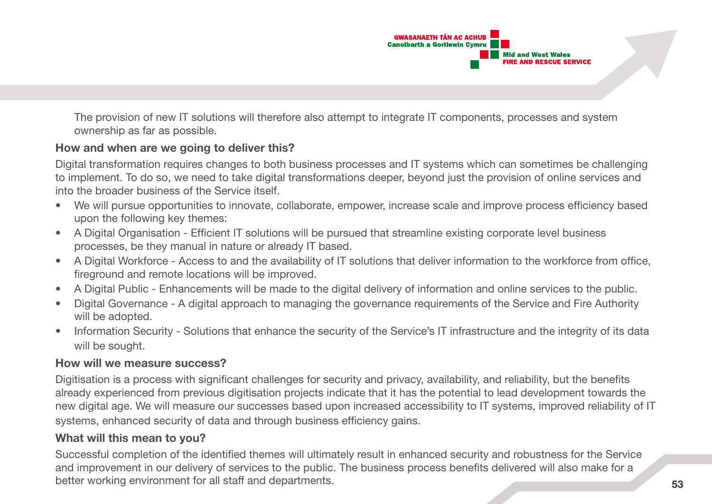

The provision of new IT solutions will therefore also attempt to integrate IT components, processes and system ownership as far as possible.

#### **How and when are we going to deliver this?**

Digital transformation requires changes to both business processes and IT systems which can sometimes be challenging to implement. To do so, we need to take digital transformations deeper, beyond just the provision of online services and into the broader business of the Service itself.

- We will pursue opportunities to innovate, collaborate, empower, increase scale and improve process efficiency based upon the following key themes:
- A Digital Organisation Efficient IT solutions will be pursued that streamline existing corporate level business processes, be they manual in nature or already IT based.
- A Digital Workforce Access to and the availability of IT solutions that deliver information to the workforce from office, fireground and remote locations will be improved.
- A Digital Public Enhancements will be made to the digital delivery of information and online services to the public.
- Digital Governance A digital approach to managing the governance requirements of the Service and Fire Authority will be adopted.
- Information Security Solutions that enhance the security of the Service's IT infrastructure and the integrity of its data will be sought.

#### **How will we measure success?**

Digitisation is a process with significant challenges for security and privacy, availability, and reliability, but the benefits already experienced from previous digitisation projects indicate that it has the potential to lead development towards the new digital age. We will measure our successes based upon increased accessibility to IT systems, improved reliability of IT systems, enhanced security of data and through business efficiency gains.

#### **What will this mean to you?**

Successful completion of the identified themes will ultimately result in enhanced security and robustness for the Service and improvement in our delivery of services to the public. The business process benefits delivered will also make for a better working environment for all staff and departments.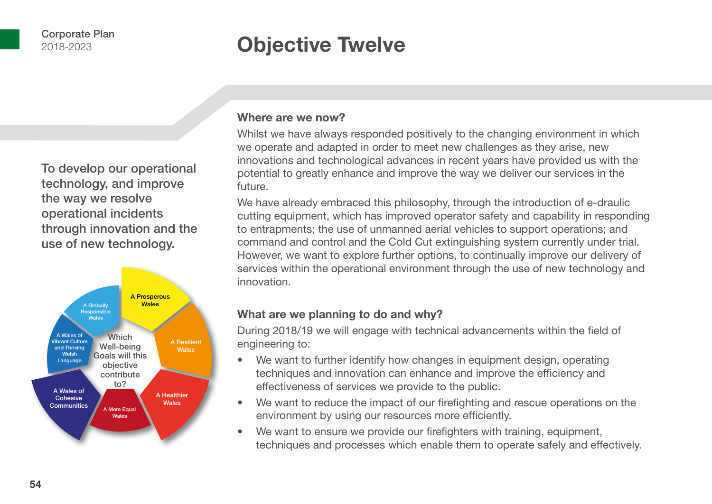### **Objective Twelve**

To develop our operational technology, and improve the way we resolve operational incidents through innovation and the use of new technology.



#### **Where are we now?**

Whilst we have always responded positively to the changing environment in which we operate and adapted in order to meet new challenges as they arise, new innovations and technological advances in recent years have provided us with the potential to greatly enhance and improve the way we deliver our services in the future.

We have already embraced this philosophy, through the introduction of e-draulic cutting equipment, which has improved operator safety and capability in responding to entrapments; the use of unmanned aerial vehicles to support operations; and command and control and the Cold Cut extinguishing system currently under trial. However, we want to explore further options, to continually improve our delivery of services within the operational environment through the use of new technology and innovation.

#### **What are we planning to do and why?**

During 2018/19 we will engage with technical advancements within the field of engineering to:

- We want to further identify how changes in equipment design, operating techniques and innovation can enhance and improve the efficiency and effectiveness of services we provide to the public.
- We want to reduce the impact of our firefighting and rescue operations on the environment by using our resources more efficiently.
- We want to ensure we provide our firefighters with training, equipment, techniques and processes which enable them to operate safely and effectively.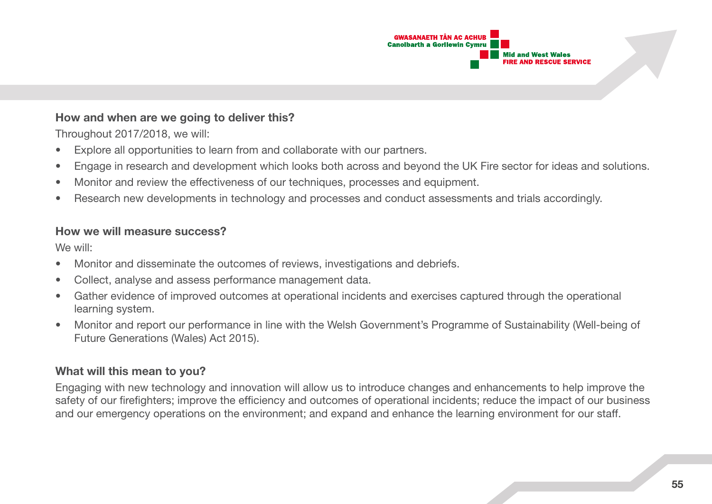

#### **How and when are we going to deliver this?**

Throughout 2017/2018, we will:

- Explore all opportunities to learn from and collaborate with our partners.
- Engage in research and development which looks both across and beyond the UK Fire sector for ideas and solutions.
- Monitor and review the effectiveness of our techniques, processes and equipment.
- Research new developments in technology and processes and conduct assessments and trials accordingly.

#### **How we will measure success?**

We will:

- Monitor and disseminate the outcomes of reviews, investigations and debriefs.
- Collect, analyse and assess performance management data.
- Gather evidence of improved outcomes at operational incidents and exercises captured through the operational learning system.
- Monitor and report our performance in line with the Welsh Government's Programme of Sustainability (Well-being of Future Generations (Wales) Act 2015).

#### **What will this mean to you?**

Engaging with new technology and innovation will allow us to introduce changes and enhancements to help improve the safety of our firefighters; improve the efficiency and outcomes of operational incidents; reduce the impact of our business and our emergency operations on the environment; and expand and enhance the learning environment for our staff.